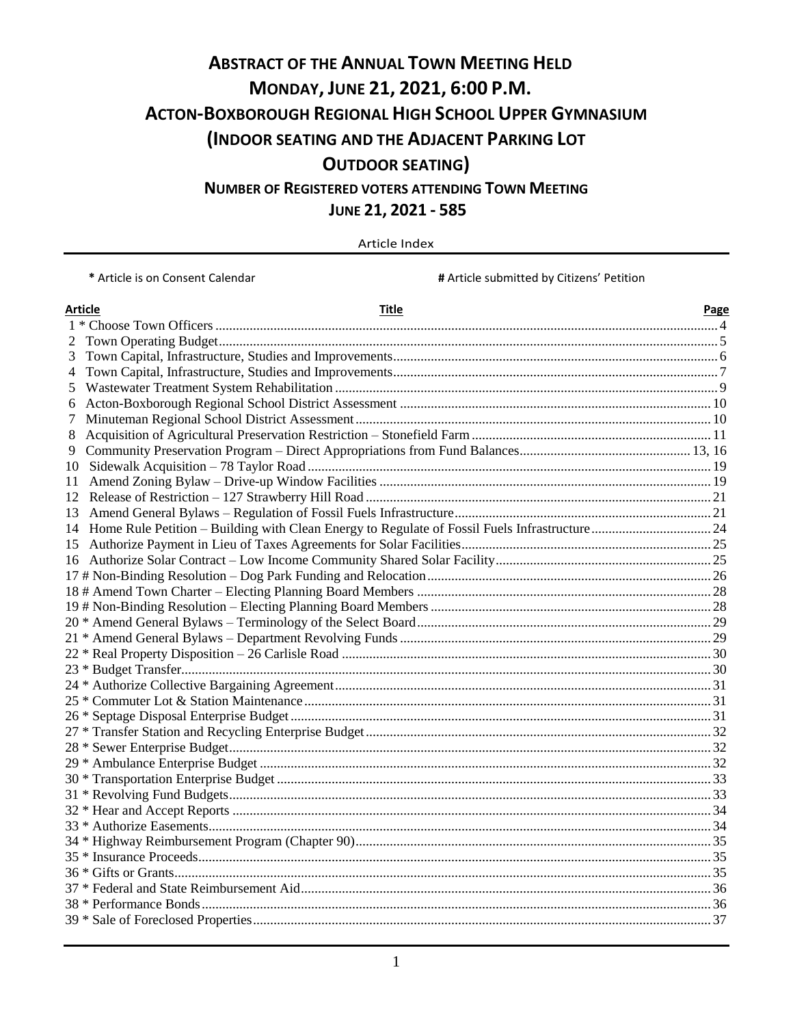# **ABSTRACT OF THE ANNUAL TOWN MEETING HELD MONDAY, JUNE 21, 2021, 6:00 P.M. ACTON-BOXBOROUGH REGIONAL HIGH SCHOOL UPPER GYMNASIUM (INDOOR SEATING AND THE ADJACENT PARKING LOT OUTDOOR SEATING) NUMBER OF REGISTERED VOTERS ATTENDING TOWN MEETING**

**JUNE 21, 2021 - 585** 

Article Index

**\*** Article is on Consent Calendar **#** Article submitted by Citizens' Petition

|    | Article<br>Title | Page |
|----|------------------|------|
|    |                  |      |
|    |                  |      |
| 3  |                  |      |
| 4  |                  |      |
| 5  |                  |      |
| 6  |                  |      |
| 7  |                  |      |
| 8  |                  |      |
| 9. |                  |      |
| 10 |                  |      |
| 11 |                  |      |
|    |                  |      |
| 13 |                  |      |
|    |                  |      |
| 15 |                  |      |
|    |                  |      |
|    |                  |      |
|    |                  |      |
|    |                  |      |
|    |                  |      |
|    |                  |      |
|    |                  |      |
|    |                  |      |
|    |                  |      |
|    |                  |      |
|    |                  |      |
|    |                  |      |
|    |                  |      |
|    |                  |      |
|    |                  |      |
|    |                  |      |
|    |                  |      |
|    |                  |      |
|    |                  |      |
|    |                  |      |
|    |                  |      |
|    |                  |      |
|    |                  |      |
|    |                  |      |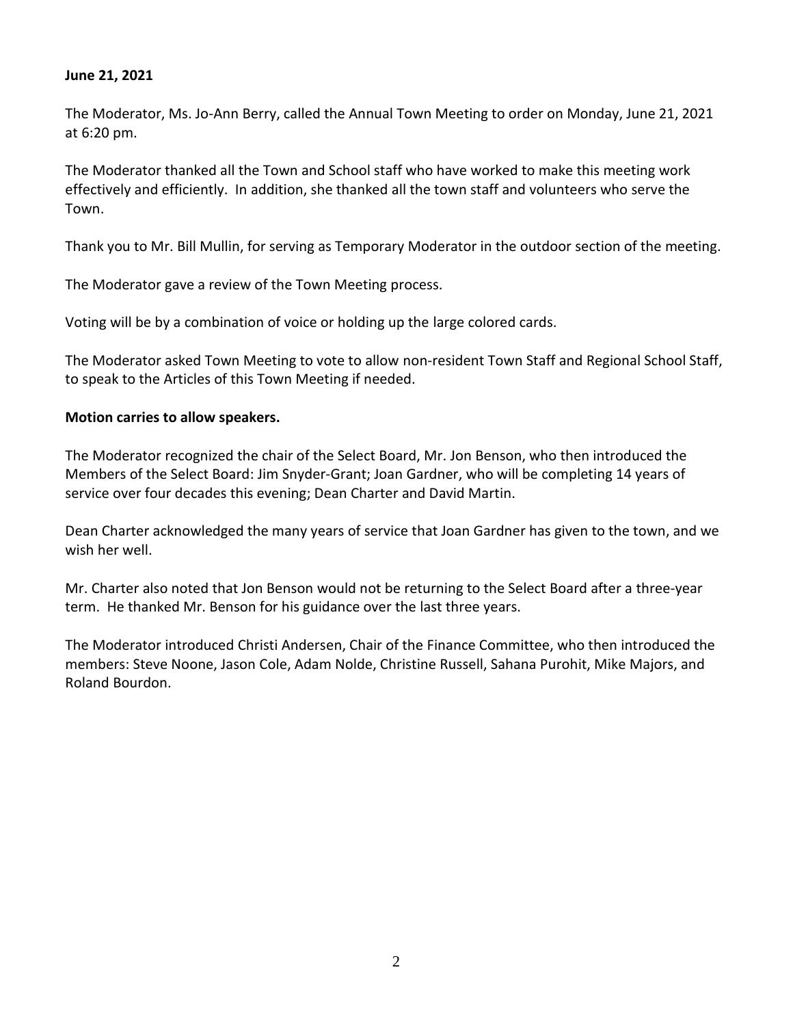#### **June 21, 2021**

The Moderator, Ms. Jo-Ann Berry, called the Annual Town Meeting to order on Monday, June 21, 2021 at 6:20 pm.

The Moderator thanked all the Town and School staff who have worked to make this meeting work effectively and efficiently. In addition, she thanked all the town staff and volunteers who serve the Town.

Thank you to Mr. Bill Mullin, for serving as Temporary Moderator in the outdoor section of the meeting.

The Moderator gave a review of the Town Meeting process.

Voting will be by a combination of voice or holding up the large colored cards.

The Moderator asked Town Meeting to vote to allow non-resident Town Staff and Regional School Staff, to speak to the Articles of this Town Meeting if needed.

#### **Motion carries to allow speakers.**

The Moderator recognized the chair of the Select Board, Mr. Jon Benson, who then introduced the Members of the Select Board: Jim Snyder-Grant; Joan Gardner, who will be completing 14 years of service over four decades this evening; Dean Charter and David Martin.

Dean Charter acknowledged the many years of service that Joan Gardner has given to the town, and we wish her well.

Mr. Charter also noted that Jon Benson would not be returning to the Select Board after a three-year term. He thanked Mr. Benson for his guidance over the last three years.

The Moderator introduced Christi Andersen, Chair of the Finance Committee, who then introduced the members: Steve Noone, Jason Cole, Adam Nolde, Christine Russell, Sahana Purohit, Mike Majors, and Roland Bourdon.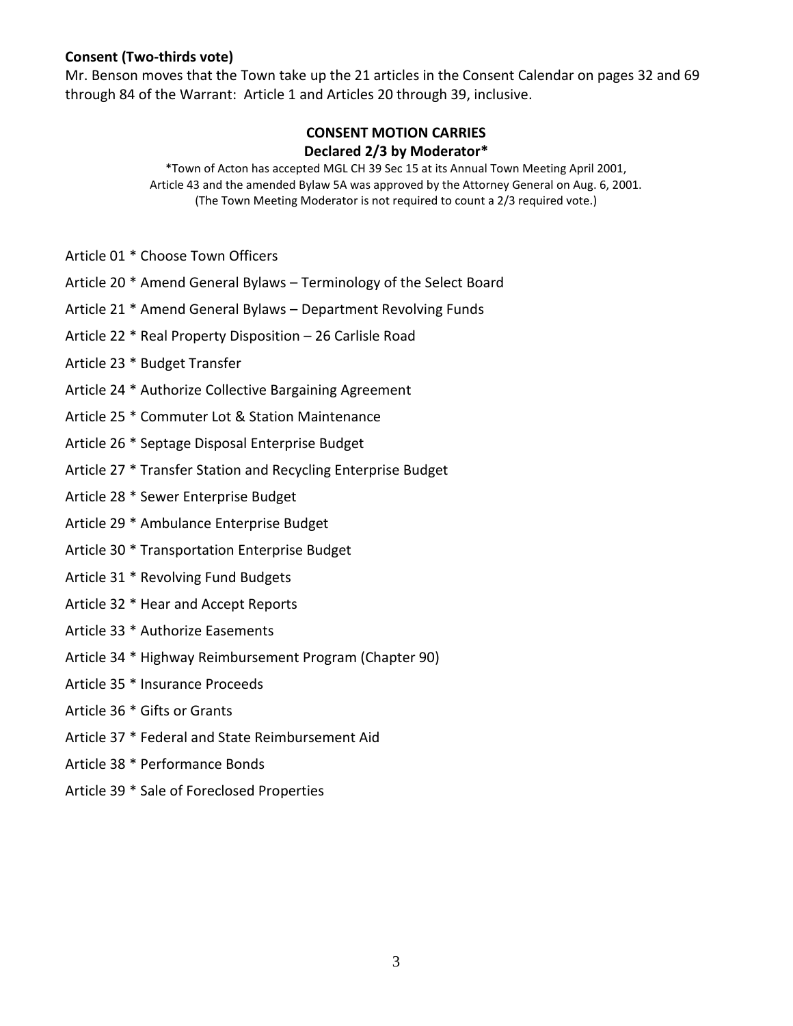#### **Consent (Two-thirds vote)**

Mr. Benson moves that the Town take up the 21 articles in the Consent Calendar on pages 32 and 69 through 84 of the Warrant: Article 1 and Articles 20 through 39, inclusive.

#### **CONSENT MOTION CARRIES Declared 2/3 by Moderator\***

\*Town of Acton has accepted MGL CH 39 Sec 15 at its Annual Town Meeting April 2001, Article 43 and the amended Bylaw 5A was approved by the Attorney General on Aug. 6, 2001. (The Town Meeting Moderator is not required to count a 2/3 required vote.)

- Article 01 \* Choose Town Officers
- Article 20 \* Amend General Bylaws Terminology of the Select Board
- Article 21 \* Amend General Bylaws Department Revolving Funds
- Article 22 \* Real Property Disposition 26 Carlisle Road
- Article 23 \* Budget Transfer
- Article 24 \* Authorize Collective Bargaining Agreement
- Article 25 \* Commuter Lot & Station Maintenance
- Article 26 \* Septage Disposal Enterprise Budget
- Article 27 \* Transfer Station and Recycling Enterprise Budget
- Article 28 \* Sewer Enterprise Budget
- Article 29 \* Ambulance Enterprise Budget
- Article 30 \* Transportation Enterprise Budget
- Article 31 \* Revolving Fund Budgets
- Article 32 \* Hear and Accept Reports
- Article 33 \* Authorize Easements
- Article 34 \* Highway Reimbursement Program (Chapter 90)
- Article 35 \* Insurance Proceeds
- Article 36 \* Gifts or Grants
- Article 37 \* Federal and State Reimbursement Aid
- Article 38 \* Performance Bonds
- Article 39 \* Sale of Foreclosed Properties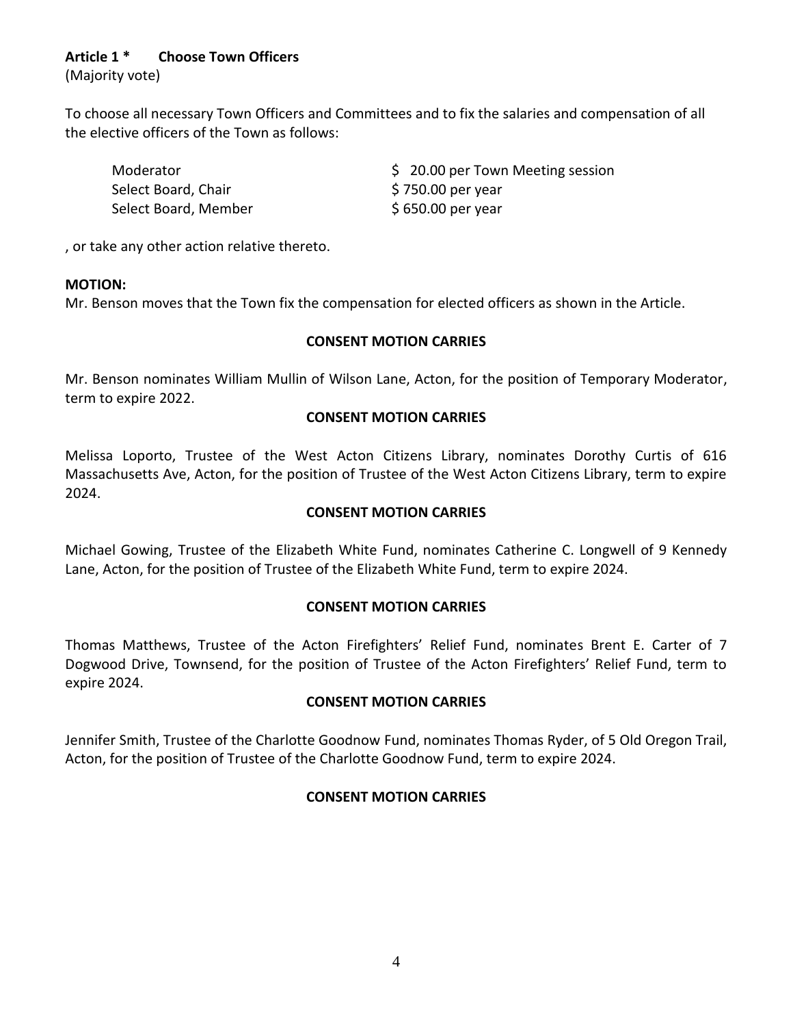# **Article 1 \* Choose Town Officers**

(Majority vote)

To choose all necessary Town Officers and Committees and to fix the salaries and compensation of all the elective officers of the Town as follows:

Select Board, Chair **\$ 750.00 per year** Select Board, Member \$ 650.00 per year

Moderator **120.000 Per Town Meeting session** 

, or take any other action relative thereto.

#### **MOTION:**

Mr. Benson moves that the Town fix the compensation for elected officers as shown in the Article.

# **CONSENT MOTION CARRIES**

Mr. Benson nominates William Mullin of Wilson Lane, Acton, for the position of Temporary Moderator, term to expire 2022.

# **CONSENT MOTION CARRIES**

Melissa Loporto, Trustee of the West Acton Citizens Library, nominates Dorothy Curtis of 616 Massachusetts Ave, Acton, for the position of Trustee of the West Acton Citizens Library, term to expire 2024.

### **CONSENT MOTION CARRIES**

Michael Gowing, Trustee of the Elizabeth White Fund, nominates Catherine C. Longwell of 9 Kennedy Lane, Acton, for the position of Trustee of the Elizabeth White Fund, term to expire 2024.

# **CONSENT MOTION CARRIES**

Thomas Matthews, Trustee of the Acton Firefighters' Relief Fund, nominates Brent E. Carter of 7 Dogwood Drive, Townsend, for the position of Trustee of the Acton Firefighters' Relief Fund, term to expire 2024.

# **CONSENT MOTION CARRIES**

Jennifer Smith, Trustee of the Charlotte Goodnow Fund, nominates Thomas Ryder, of 5 Old Oregon Trail, Acton, for the position of Trustee of the Charlotte Goodnow Fund, term to expire 2024.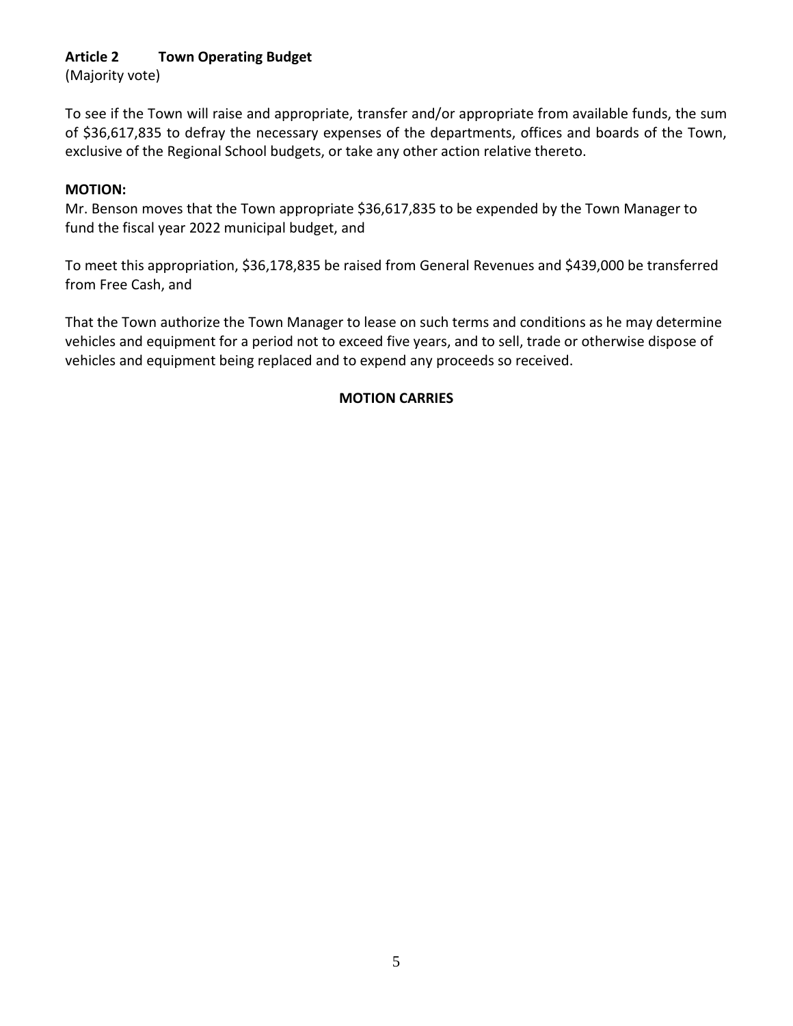# **Article 2 Town Operating Budget**

(Majority vote)

To see if the Town will raise and appropriate, transfer and/or appropriate from available funds, the sum of \$36,617,835 to defray the necessary expenses of the departments, offices and boards of the Town, exclusive of the Regional School budgets, or take any other action relative thereto.

#### **MOTION:**

Mr. Benson moves that the Town appropriate \$36,617,835 to be expended by the Town Manager to fund the fiscal year 2022 municipal budget, and

To meet this appropriation, \$36,178,835 be raised from General Revenues and \$439,000 be transferred from Free Cash, and

That the Town authorize the Town Manager to lease on such terms and conditions as he may determine vehicles and equipment for a period not to exceed five years, and to sell, trade or otherwise dispose of vehicles and equipment being replaced and to expend any proceeds so received.

# **MOTION CARRIES**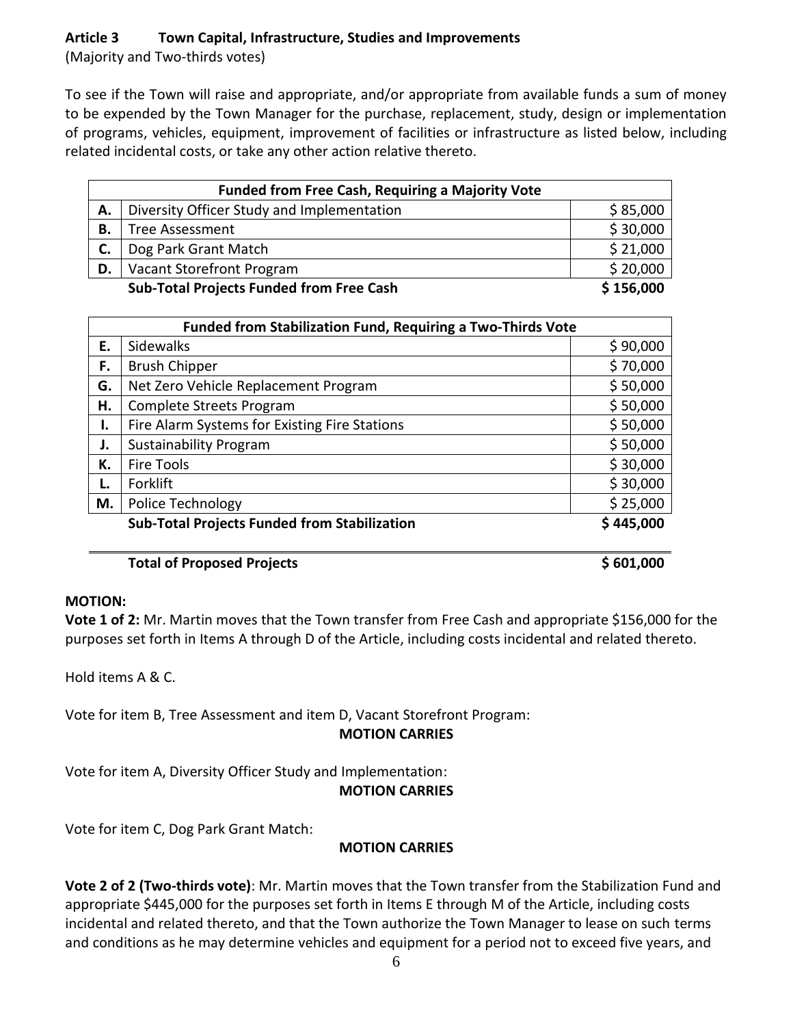# **Article 3 Town Capital, Infrastructure, Studies and Improvements**

(Majority and Two-thirds votes)

To see if the Town will raise and appropriate, and/or appropriate from available funds a sum of money to be expended by the Town Manager for the purchase, replacement, study, design or implementation of programs, vehicles, equipment, improvement of facilities or infrastructure as listed below, including related incidental costs, or take any other action relative thereto.

|    | <b>Funded from Free Cash, Requiring a Majority Vote</b> |           |  |  |  |
|----|---------------------------------------------------------|-----------|--|--|--|
| А. | Diversity Officer Study and Implementation              | \$85,000  |  |  |  |
| В. | Tree Assessment                                         | \$30,000  |  |  |  |
|    | Dog Park Grant Match                                    | \$21,000  |  |  |  |
| D. | Vacant Storefront Program                               | \$20,000  |  |  |  |
|    | <b>Sub-Total Projects Funded from Free Cash</b>         | \$156,000 |  |  |  |

| <b>Funded from Stabilization Fund, Requiring a Two-Thirds Vote</b> |                                                     |           |  |  |  |  |
|--------------------------------------------------------------------|-----------------------------------------------------|-----------|--|--|--|--|
| Ε.                                                                 | \$90,000<br><b>Sidewalks</b>                        |           |  |  |  |  |
| F.                                                                 | <b>Brush Chipper</b>                                | \$70,000  |  |  |  |  |
| G.                                                                 | Net Zero Vehicle Replacement Program                | \$50,000  |  |  |  |  |
| Н.                                                                 | Complete Streets Program                            | \$50,000  |  |  |  |  |
| I.                                                                 | Fire Alarm Systems for Existing Fire Stations       | \$50,000  |  |  |  |  |
| J.                                                                 | <b>Sustainability Program</b>                       | \$50,000  |  |  |  |  |
| К.                                                                 | Fire Tools                                          | \$30,000  |  |  |  |  |
| L.                                                                 | Forklift                                            | \$30,000  |  |  |  |  |
| М.                                                                 | Police Technology                                   | \$25,000  |  |  |  |  |
|                                                                    | <b>Sub-Total Projects Funded from Stabilization</b> | \$445,000 |  |  |  |  |

# **Total of Proposed Projects All 2000 3 601,000**

# **MOTION:**

**Vote 1 of 2:** Mr. Martin moves that the Town transfer from Free Cash and appropriate \$156,000 for the purposes set forth in Items A through D of the Article, including costs incidental and related thereto.

Hold items A & C.

Vote for item B, Tree Assessment and item D, Vacant Storefront Program: **MOTION CARRIES**

Vote for item A, Diversity Officer Study and Implementation:

**MOTION CARRIES**

Vote for item C, Dog Park Grant Match:

# **MOTION CARRIES**

**Vote 2 of 2 (Two-thirds vote)**: Mr. Martin moves that the Town transfer from the Stabilization Fund and appropriate \$445,000 for the purposes set forth in Items E through M of the Article, including costs incidental and related thereto, and that the Town authorize the Town Manager to lease on such terms and conditions as he may determine vehicles and equipment for a period not to exceed five years, and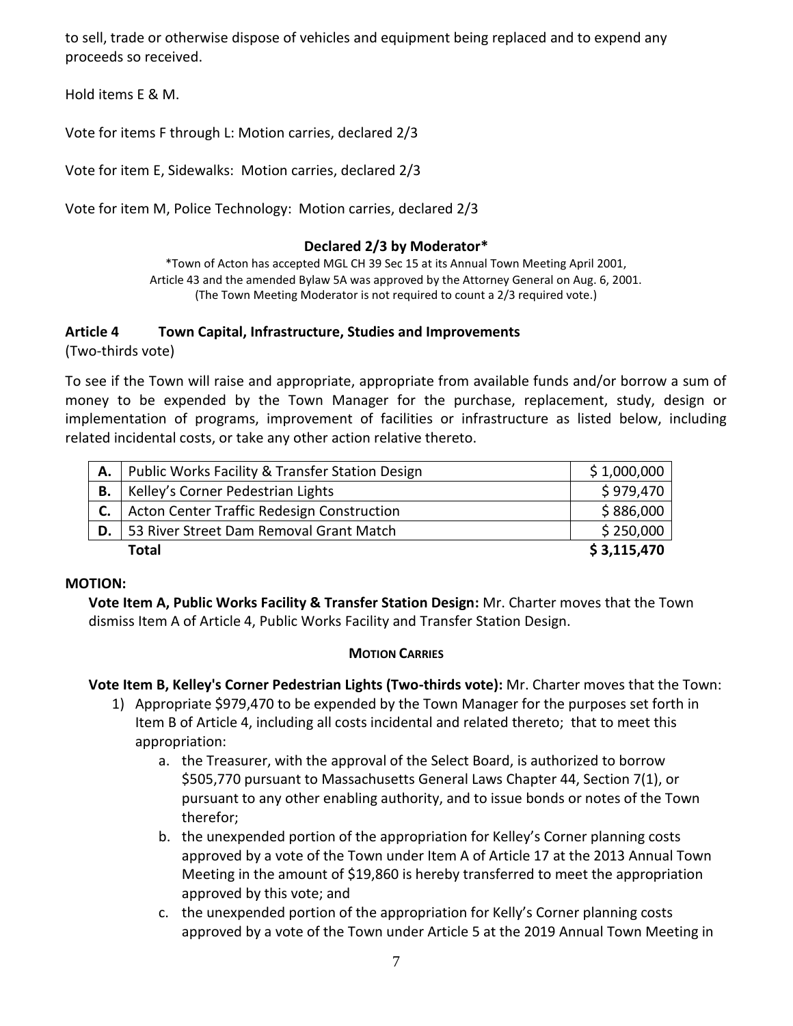to sell, trade or otherwise dispose of vehicles and equipment being replaced and to expend any proceeds so received.

Hold items E & M.

Vote for items F through L: Motion carries, declared 2/3

Vote for item E, Sidewalks: Motion carries, declared 2/3

Vote for item M, Police Technology: Motion carries, declared 2/3

#### **Declared 2/3 by Moderator\***

\*Town of Acton has accepted MGL CH 39 Sec 15 at its Annual Town Meeting April 2001, Article 43 and the amended Bylaw 5A was approved by the Attorney General on Aug. 6, 2001. (The Town Meeting Moderator is not required to count a 2/3 required vote.)

#### **Article 4 Town Capital, Infrastructure, Studies and Improvements**

(Two-thirds vote)

To see if the Town will raise and appropriate, appropriate from available funds and/or borrow a sum of money to be expended by the Town Manager for the purchase, replacement, study, design or implementation of programs, improvement of facilities or infrastructure as listed below, including related incidental costs, or take any other action relative thereto.

| A. I | Public Works Facility & Transfer Station Design | \$1,000,000 |
|------|-------------------------------------------------|-------------|
| В.   | Kelley's Corner Pedestrian Lights               | \$979,470   |
|      | Acton Center Traffic Redesign Construction      | \$886,000   |
| D.   | 53 River Street Dam Removal Grant Match         | \$250,000   |
|      | Total                                           | \$3,115,470 |

#### **MOTION:**

**Vote Item A, Public Works Facility & Transfer Station Design:** Mr. Charter moves that the Town dismiss Item A of Article 4, Public Works Facility and Transfer Station Design.

#### **MOTION CARRIES**

**Vote Item B, Kelley's Corner Pedestrian Lights (Two-thirds vote):** Mr. Charter moves that the Town:

- 1) Appropriate \$979,470 to be expended by the Town Manager for the purposes set forth in Item B of Article 4, including all costs incidental and related thereto; that to meet this appropriation:
	- a. the Treasurer, with the approval of the Select Board, is authorized to borrow \$505,770 pursuant to Massachusetts General Laws Chapter 44, Section 7(1), or pursuant to any other enabling authority, and to issue bonds or notes of the Town therefor;
	- b. the unexpended portion of the appropriation for Kelley's Corner planning costs approved by a vote of the Town under Item A of Article 17 at the 2013 Annual Town Meeting in the amount of \$19,860 is hereby transferred to meet the appropriation approved by this vote; and
	- c. the unexpended portion of the appropriation for Kelly's Corner planning costs approved by a vote of the Town under Article 5 at the 2019 Annual Town Meeting in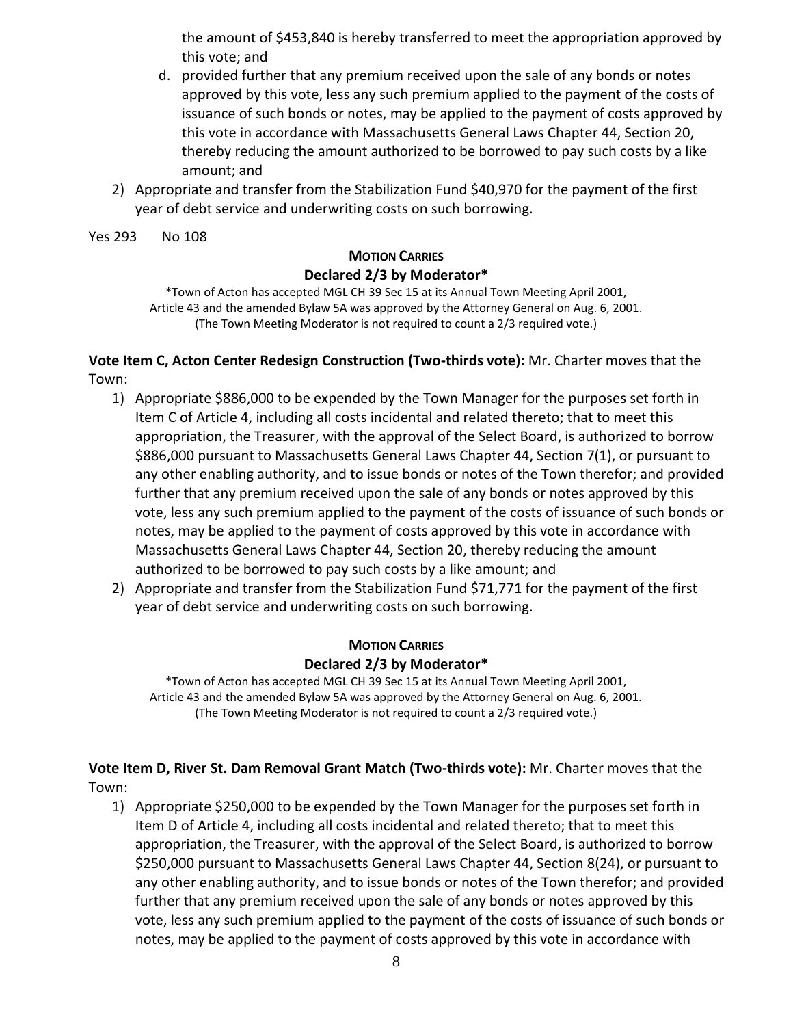the amount of \$453,840 is hereby transferred to meet the appropriation approved by this vote; and

- d. provided further that any premium received upon the sale of any bonds or notes approved by this vote, less any such premium applied to the payment of the costs of issuance of such bonds or notes, may be applied to the payment of costs approved by this vote in accordance with Massachusetts General Laws Chapter 44, Section 20, thereby reducing the amount authorized to be borrowed to pay such costs by a like amount; and
- 2) Appropriate and transfer from the Stabilization Fund \$40,970 for the payment of the first year of debt service and underwriting costs on such borrowing.

Yes 293 No 108

# **MOTION CARRIES Declared 2/3 by Moderator\***

\*Town of Acton has accepted MGL CH 39 Sec 15 at its Annual Town Meeting April 2001, Article 43 and the amended Bylaw 5A was approved by the Attorney General on Aug. 6, 2001. (The Town Meeting Moderator is not required to count a 2/3 required vote.)

**Vote Item C, Acton Center Redesign Construction (Two-thirds vote):** Mr. Charter moves that the Town:

- 1) Appropriate \$886,000 to be expended by the Town Manager for the purposes set forth in Item C of Article 4, including all costs incidental and related thereto; that to meet this appropriation, the Treasurer, with the approval of the Select Board, is authorized to borrow \$886,000 pursuant to Massachusetts General Laws Chapter 44, Section 7(1), or pursuant to any other enabling authority, and to issue bonds or notes of the Town therefor; and provided further that any premium received upon the sale of any bonds or notes approved by this vote, less any such premium applied to the payment of the costs of issuance of such bonds or notes, may be applied to the payment of costs approved by this vote in accordance with Massachusetts General Laws Chapter 44, Section 20, thereby reducing the amount authorized to be borrowed to pay such costs by a like amount; and
- 2) Appropriate and transfer from the Stabilization Fund \$71,771 for the payment of the first year of debt service and underwriting costs on such borrowing.

# **MOTION CARRIES Declared 2/3 by Moderator\***

\*Town of Acton has accepted MGL CH 39 Sec 15 at its Annual Town Meeting April 2001, Article 43 and the amended Bylaw 5A was approved by the Attorney General on Aug. 6, 2001. (The Town Meeting Moderator is not required to count a 2/3 required vote.)

**Vote Item D, River St. Dam Removal Grant Match (Two-thirds vote):** Mr. Charter moves that the Town:

1) Appropriate \$250,000 to be expended by the Town Manager for the purposes set forth in Item D of Article 4, including all costs incidental and related thereto; that to meet this appropriation, the Treasurer, with the approval of the Select Board, is authorized to borrow \$250,000 pursuant to Massachusetts General Laws Chapter 44, Section 8(24), or pursuant to any other enabling authority, and to issue bonds or notes of the Town therefor; and provided further that any premium received upon the sale of any bonds or notes approved by this vote, less any such premium applied to the payment of the costs of issuance of such bonds or notes, may be applied to the payment of costs approved by this vote in accordance with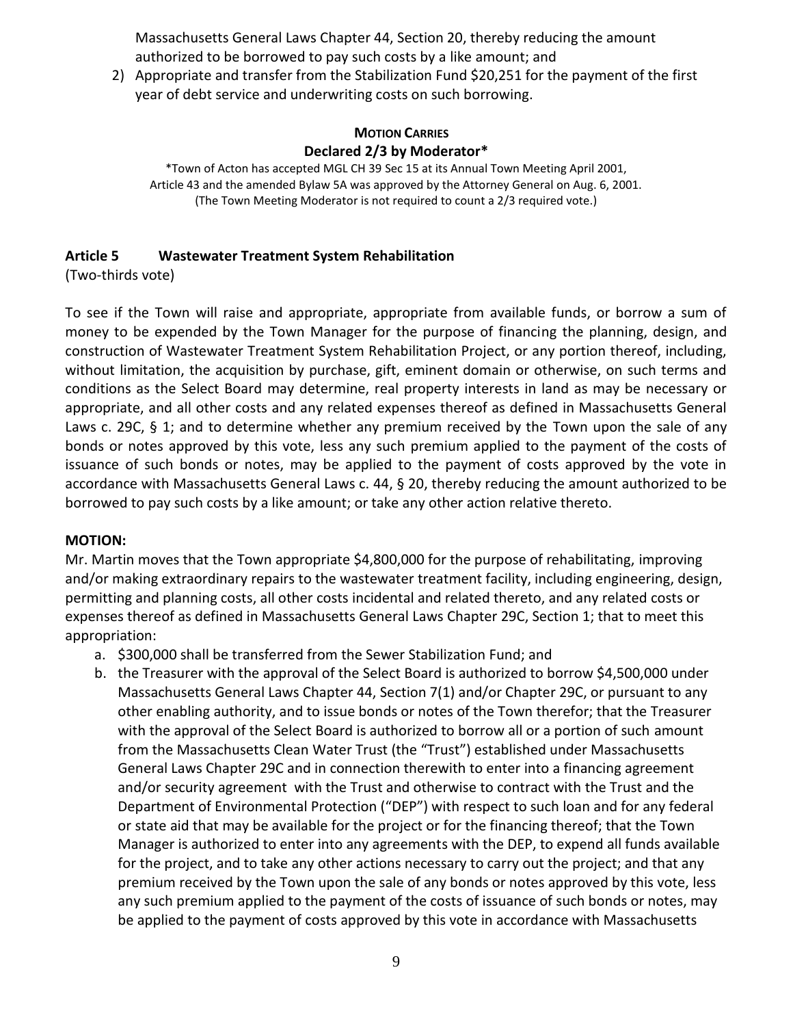Massachusetts General Laws Chapter 44, Section 20, thereby reducing the amount authorized to be borrowed to pay such costs by a like amount; and

2) Appropriate and transfer from the Stabilization Fund \$20,251 for the payment of the first year of debt service and underwriting costs on such borrowing.

### **MOTION CARRIES Declared 2/3 by Moderator\***

\*Town of Acton has accepted MGL CH 39 Sec 15 at its Annual Town Meeting April 2001, Article 43 and the amended Bylaw 5A was approved by the Attorney General on Aug. 6, 2001. (The Town Meeting Moderator is not required to count a 2/3 required vote.)

# **Article 5 Wastewater Treatment System Rehabilitation**

(Two-thirds vote)

To see if the Town will raise and appropriate, appropriate from available funds, or borrow a sum of money to be expended by the Town Manager for the purpose of financing the planning, design, and construction of Wastewater Treatment System Rehabilitation Project, or any portion thereof, including, without limitation, the acquisition by purchase, gift, eminent domain or otherwise, on such terms and conditions as the Select Board may determine, real property interests in land as may be necessary or appropriate, and all other costs and any related expenses thereof as defined in Massachusetts General Laws c. 29C,  $\S$  1; and to determine whether any premium received by the Town upon the sale of any bonds or notes approved by this vote, less any such premium applied to the payment of the costs of issuance of such bonds or notes, may be applied to the payment of costs approved by the vote in accordance with Massachusetts General Laws c. 44, § 20, thereby reducing the amount authorized to be borrowed to pay such costs by a like amount; or take any other action relative thereto.

# **MOTION:**

Mr. Martin moves that the Town appropriate \$4,800,000 for the purpose of rehabilitating, improving and/or making extraordinary repairs to the wastewater treatment facility, including engineering, design, permitting and planning costs, all other costs incidental and related thereto, and any related costs or expenses thereof as defined in Massachusetts General Laws Chapter 29C, Section 1; that to meet this appropriation:

- a. \$300,000 shall be transferred from the Sewer Stabilization Fund; and
- b. the Treasurer with the approval of the Select Board is authorized to borrow \$4,500,000 under Massachusetts General Laws Chapter 44, Section 7(1) and/or Chapter 29C, or pursuant to any other enabling authority, and to issue bonds or notes of the Town therefor; that the Treasurer with the approval of the Select Board is authorized to borrow all or a portion of such amount from the Massachusetts Clean Water Trust (the "Trust") established under Massachusetts General Laws Chapter 29C and in connection therewith to enter into a financing agreement and/or security agreement with the Trust and otherwise to contract with the Trust and the Department of Environmental Protection ("DEP") with respect to such loan and for any federal or state aid that may be available for the project or for the financing thereof; that the Town Manager is authorized to enter into any agreements with the DEP, to expend all funds available for the project, and to take any other actions necessary to carry out the project; and that any premium received by the Town upon the sale of any bonds or notes approved by this vote, less any such premium applied to the payment of the costs of issuance of such bonds or notes, may be applied to the payment of costs approved by this vote in accordance with Massachusetts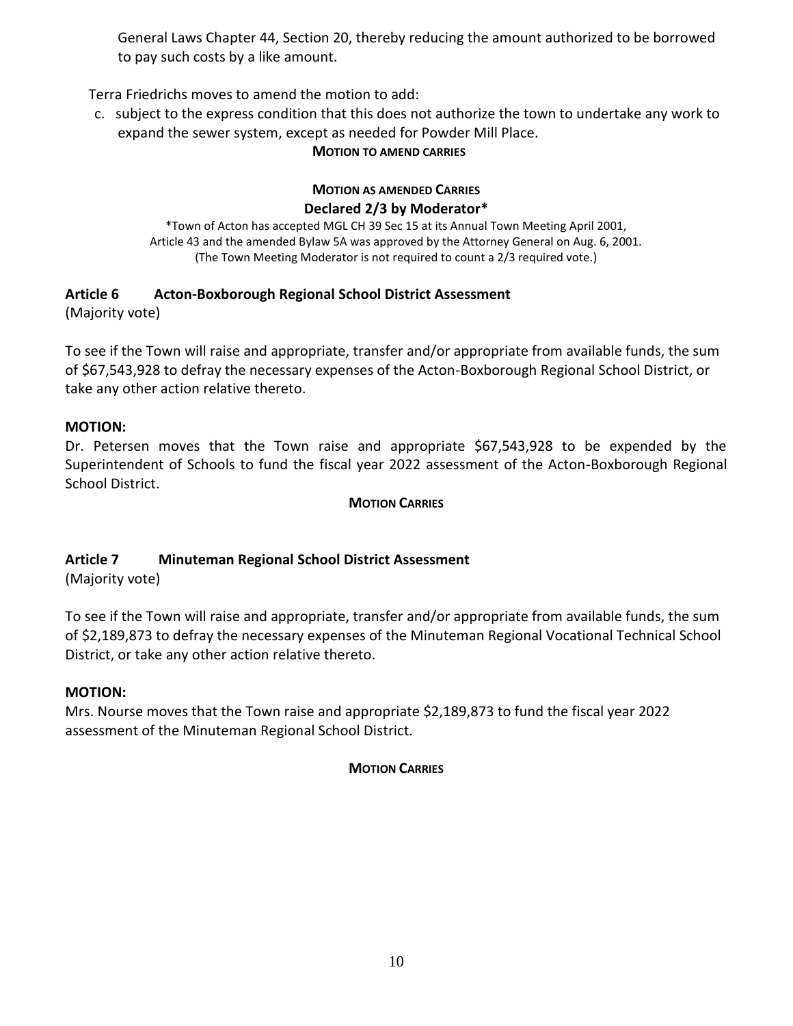General Laws Chapter 44, Section 20, thereby reducing the amount authorized to be borrowed to pay such costs by a like amount.

Terra Friedrichs moves to amend the motion to add:

c. subject to the express condition that this does not authorize the town to undertake any work to expand the sewer system, except as needed for Powder Mill Place.

### **MOTION TO AMEND CARRIES**

#### **MOTION AS AMENDED CARRIES Declared 2/3 by Moderator\***

\*Town of Acton has accepted MGL CH 39 Sec 15 at its Annual Town Meeting April 2001, Article 43 and the amended Bylaw 5A was approved by the Attorney General on Aug. 6, 2001. (The Town Meeting Moderator is not required to count a 2/3 required vote.)

# **Article 6 Acton-Boxborough Regional School District Assessment**

(Majority vote)

To see if the Town will raise and appropriate, transfer and/or appropriate from available funds, the sum of \$67,543,928 to defray the necessary expenses of the Acton-Boxborough Regional School District, or take any other action relative thereto.

# **MOTION:**

Dr. Petersen moves that the Town raise and appropriate \$67,543,928 to be expended by the Superintendent of Schools to fund the fiscal year 2022 assessment of the Acton-Boxborough Regional School District.

#### **MOTION CARRIES**

# **Article 7 Minuteman Regional School District Assessment**

(Majority vote)

To see if the Town will raise and appropriate, transfer and/or appropriate from available funds, the sum of \$2,189,873 to defray the necessary expenses of the Minuteman Regional Vocational Technical School District, or take any other action relative thereto.

# **MOTION:**

Mrs. Nourse moves that the Town raise and appropriate \$2,189,873 to fund the fiscal year 2022 assessment of the Minuteman Regional School District.

# **MOTION CARRIES**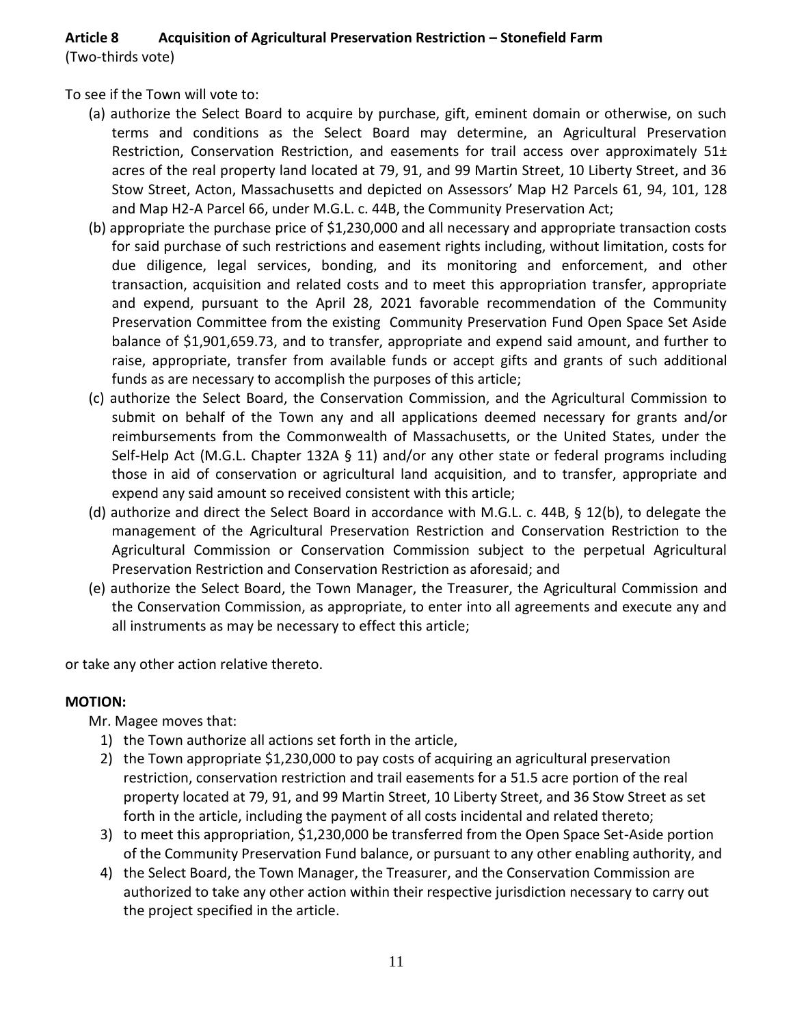# **Article 8 Acquisition of Agricultural Preservation Restriction – Stonefield Farm**

(Two-thirds vote)

To see if the Town will vote to:

- (a) authorize the Select Board to acquire by purchase, gift, eminent domain or otherwise, on such terms and conditions as the Select Board may determine, an Agricultural Preservation Restriction, Conservation Restriction, and easements for trail access over approximately 51± acres of the real property land located at 79, 91, and 99 Martin Street, 10 Liberty Street, and 36 Stow Street, Acton, Massachusetts and depicted on Assessors' Map H2 Parcels 61, 94, 101, 128 and Map H2-A Parcel 66, under M.G.L. c. 44B, the Community Preservation Act;
- (b) appropriate the purchase price of \$1,230,000 and all necessary and appropriate transaction costs for said purchase of such restrictions and easement rights including, without limitation, costs for due diligence, legal services, bonding, and its monitoring and enforcement, and other transaction, acquisition and related costs and to meet this appropriation transfer, appropriate and expend, pursuant to the April 28, 2021 favorable recommendation of the Community Preservation Committee from the existing Community Preservation Fund Open Space Set Aside balance of \$1,901,659.73, and to transfer, appropriate and expend said amount, and further to raise, appropriate, transfer from available funds or accept gifts and grants of such additional funds as are necessary to accomplish the purposes of this article;
- (c) authorize the Select Board, the Conservation Commission, and the Agricultural Commission to submit on behalf of the Town any and all applications deemed necessary for grants and/or reimbursements from the Commonwealth of Massachusetts, or the United States, under the Self-Help Act (M.G.L. Chapter 132A § 11) and/or any other state or federal programs including those in aid of conservation or agricultural land acquisition, and to transfer, appropriate and expend any said amount so received consistent with this article;
- (d) authorize and direct the Select Board in accordance with M.G.L. c. 44B, § 12(b), to delegate the management of the Agricultural Preservation Restriction and Conservation Restriction to the Agricultural Commission or Conservation Commission subject to the perpetual Agricultural Preservation Restriction and Conservation Restriction as aforesaid; and
- (e) authorize the Select Board, the Town Manager, the Treasurer, the Agricultural Commission and the Conservation Commission, as appropriate, to enter into all agreements and execute any and all instruments as may be necessary to effect this article;

or take any other action relative thereto.

# **MOTION:**

- Mr. Magee moves that:
	- 1) the Town authorize all actions set forth in the article,
	- 2) the Town appropriate \$1,230,000 to pay costs of acquiring an agricultural preservation restriction, conservation restriction and trail easements for a 51.5 acre portion of the real property located at 79, 91, and 99 Martin Street, 10 Liberty Street, and 36 Stow Street as set forth in the article, including the payment of all costs incidental and related thereto;
	- 3) to meet this appropriation, \$1,230,000 be transferred from the Open Space Set-Aside portion of the Community Preservation Fund balance, or pursuant to any other enabling authority, and
	- 4) the Select Board, the Town Manager, the Treasurer, and the Conservation Commission are authorized to take any other action within their respective jurisdiction necessary to carry out the project specified in the article.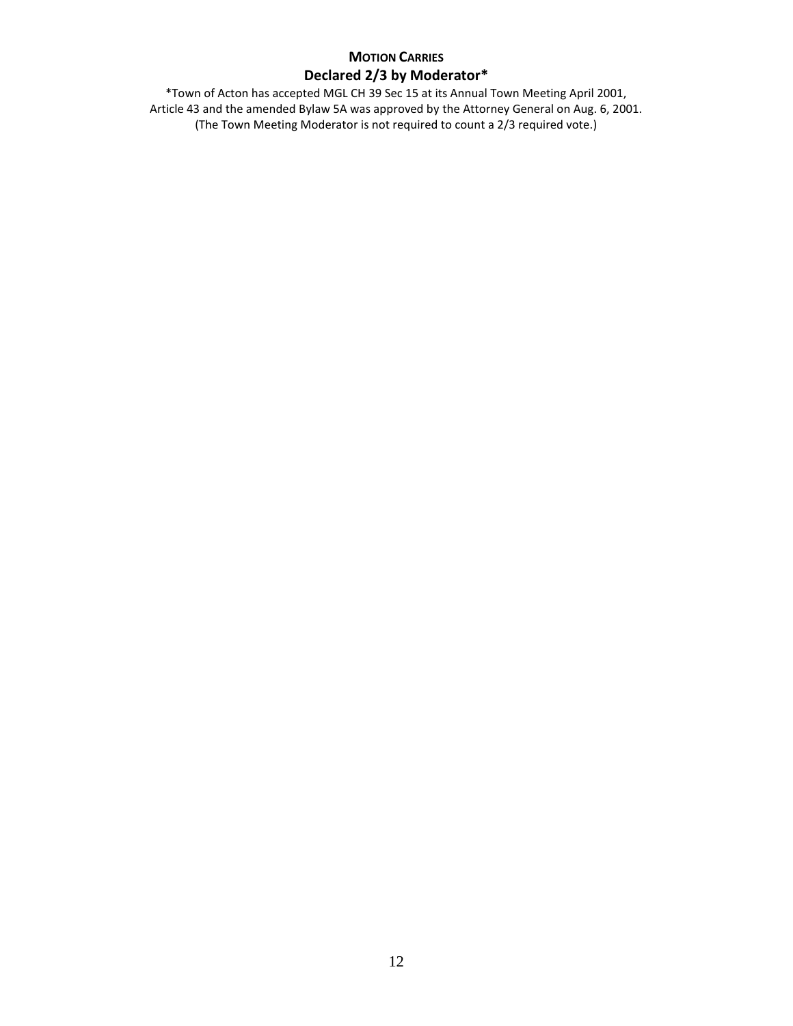# **MOTION CARRIES Declared 2/3 by Moderator\***

\*Town of Acton has accepted MGL CH 39 Sec 15 at its Annual Town Meeting April 2001, Article 43 and the amended Bylaw 5A was approved by the Attorney General on Aug. 6, 2001. (The Town Meeting Moderator is not required to count a 2/3 required vote.)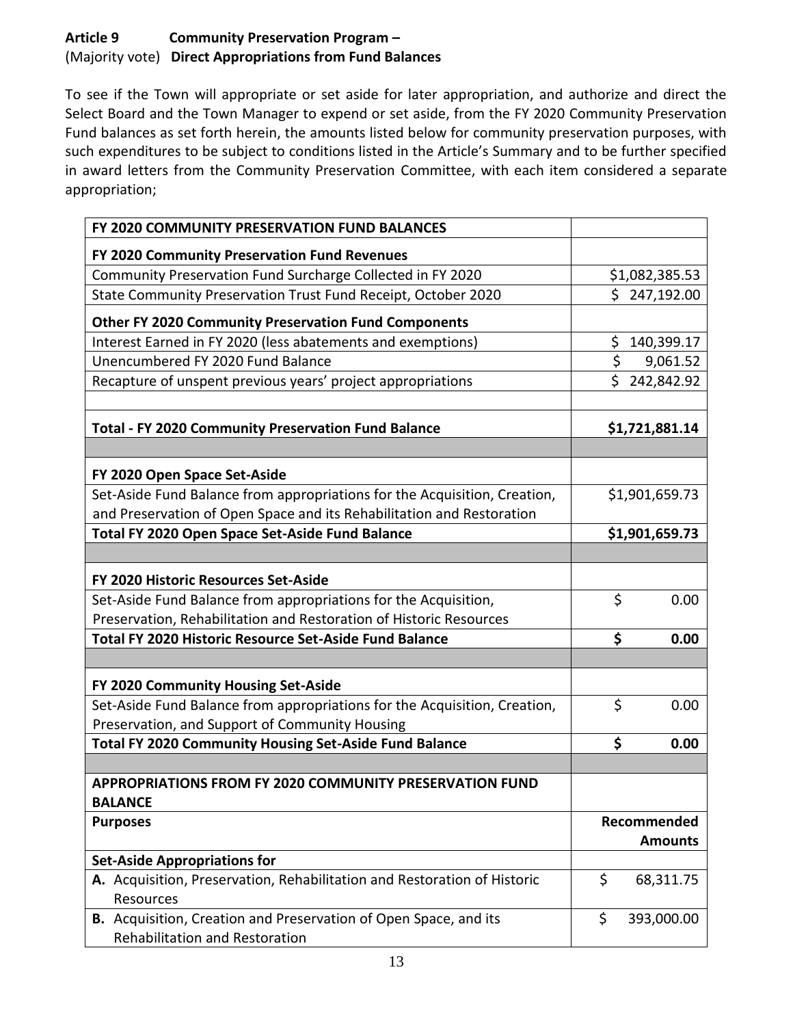# **Article 9 Community Preservation Program –** (Majority vote) **Direct Appropriations from Fund Balances**

To see if the Town will appropriate or set aside for later appropriation, and authorize and direct the Select Board and the Town Manager to expend or set aside, from the FY 2020 Community Preservation Fund balances as set forth herein, the amounts listed below for community preservation purposes, with such expenditures to be subject to conditions listed in the Article's Summary and to be further specified in award letters from the Community Preservation Committee, with each item considered a separate appropriation;

| FY 2020 COMMUNITY PRESERVATION FUND BALANCES                                                                                                       |                  |
|----------------------------------------------------------------------------------------------------------------------------------------------------|------------------|
| FY 2020 Community Preservation Fund Revenues                                                                                                       |                  |
| Community Preservation Fund Surcharge Collected in FY 2020                                                                                         | \$1,082,385.53   |
| State Community Preservation Trust Fund Receipt, October 2020                                                                                      | \$247,192.00     |
| <b>Other FY 2020 Community Preservation Fund Components</b>                                                                                        |                  |
| Interest Earned in FY 2020 (less abatements and exemptions)                                                                                        | \$<br>140,399.17 |
| Unencumbered FY 2020 Fund Balance                                                                                                                  | \$<br>9,061.52   |
| Recapture of unspent previous years' project appropriations                                                                                        | \$242,842.92     |
| <b>Total - FY 2020 Community Preservation Fund Balance</b>                                                                                         | \$1,721,881.14   |
|                                                                                                                                                    |                  |
| FY 2020 Open Space Set-Aside                                                                                                                       |                  |
| Set-Aside Fund Balance from appropriations for the Acquisition, Creation,<br>and Preservation of Open Space and its Rehabilitation and Restoration | \$1,901,659.73   |
| Total FY 2020 Open Space Set-Aside Fund Balance                                                                                                    | \$1,901,659.73   |
|                                                                                                                                                    |                  |
| FY 2020 Historic Resources Set-Aside                                                                                                               |                  |
| Set-Aside Fund Balance from appropriations for the Acquisition,                                                                                    | \$<br>0.00       |
| Preservation, Rehabilitation and Restoration of Historic Resources                                                                                 |                  |
| <b>Total FY 2020 Historic Resource Set-Aside Fund Balance</b>                                                                                      | \$<br>0.00       |
|                                                                                                                                                    |                  |
| FY 2020 Community Housing Set-Aside                                                                                                                |                  |
| Set-Aside Fund Balance from appropriations for the Acquisition, Creation,                                                                          | \$<br>0.00       |
| Preservation, and Support of Community Housing                                                                                                     |                  |
| Total FY 2020 Community Housing Set-Aside Fund Balance                                                                                             | \$<br>0.00       |
| APPROPRIATIONS FROM FY 2020 COMMUNITY PRESERVATION FUND                                                                                            |                  |
| <b>BALANCE</b>                                                                                                                                     |                  |
| <b>Purposes</b>                                                                                                                                    | Recommended      |
|                                                                                                                                                    | <b>Amounts</b>   |
| <b>Set-Aside Appropriations for</b>                                                                                                                |                  |
| A. Acquisition, Preservation, Rehabilitation and Restoration of Historic<br>Resources                                                              | \$<br>68,311.75  |
| B. Acquisition, Creation and Preservation of Open Space, and its<br>Rehabilitation and Restoration                                                 | \$<br>393,000.00 |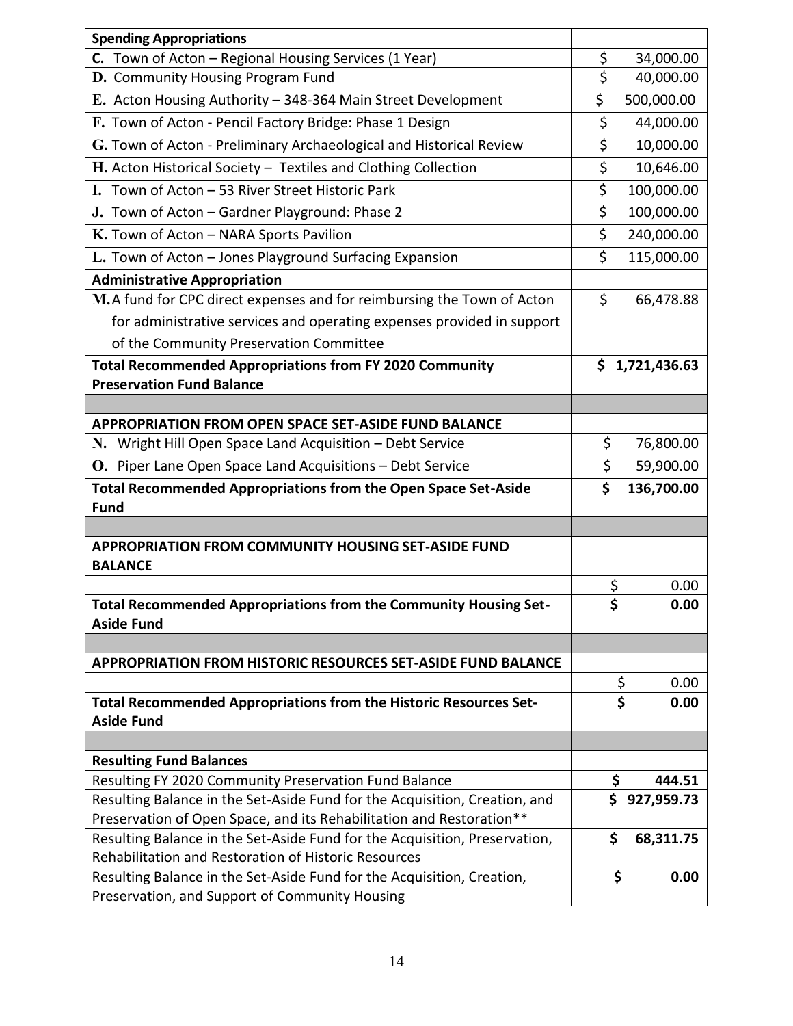| C. Town of Acton - Regional Housing Services (1 Year)<br>\$<br>34,000.00<br>$\overline{\mathsf{S}}$<br>D. Community Housing Program Fund<br>40,000.00<br>\$<br>E. Acton Housing Authority - 348-364 Main Street Development<br>500,000.00<br>\$<br>F. Town of Acton - Pencil Factory Bridge: Phase 1 Design<br>44,000.00<br>\$<br>G. Town of Acton - Preliminary Archaeological and Historical Review<br>10,000.00<br>\$<br>H. Acton Historical Society - Textiles and Clothing Collection<br>10,646.00<br>\$<br>I. Town of Acton - 53 River Street Historic Park<br>100,000.00<br>\$<br>100,000.00<br>J. Town of Acton - Gardner Playground: Phase 2<br>\$<br>K. Town of Acton - NARA Sports Pavilion<br>240,000.00<br>\$<br>115,000.00<br>L. Town of Acton - Jones Playground Surfacing Expansion<br><b>Administrative Appropriation</b><br>\$<br>M.A fund for CPC direct expenses and for reimbursing the Town of Acton<br>66,478.88<br>for administrative services and operating expenses provided in support<br>of the Community Preservation Committee<br><b>Total Recommended Appropriations from FY 2020 Community</b><br>\$1,721,436.63<br><b>Preservation Fund Balance</b><br><b>APPROPRIATION FROM OPEN SPACE SET-ASIDE FUND BALANCE</b><br>\$<br>76,800.00<br>N. Wright Hill Open Space Land Acquisition - Debt Service<br>\$<br>O. Piper Lane Open Space Land Acquisitions - Debt Service<br>59,900.00<br>\$<br><b>Total Recommended Appropriations from the Open Space Set-Aside</b><br>136,700.00<br><b>Fund</b><br><b>APPROPRIATION FROM COMMUNITY HOUSING SET-ASIDE FUND</b><br><b>BALANCE</b><br>\$<br>0.00<br>¢<br>Total Recommended Appropriations from the Community Housing Set-<br>0.00<br><b>Aside Fund</b><br><b>APPROPRIATION FROM HISTORIC RESOURCES SET-ASIDE FUND BALANCE</b><br>\$<br>0.00<br>\$<br>Total Recommended Appropriations from the Historic Resources Set-<br>0.00<br><b>Aside Fund</b> | <b>Spending Appropriations</b> |  |
|----------------------------------------------------------------------------------------------------------------------------------------------------------------------------------------------------------------------------------------------------------------------------------------------------------------------------------------------------------------------------------------------------------------------------------------------------------------------------------------------------------------------------------------------------------------------------------------------------------------------------------------------------------------------------------------------------------------------------------------------------------------------------------------------------------------------------------------------------------------------------------------------------------------------------------------------------------------------------------------------------------------------------------------------------------------------------------------------------------------------------------------------------------------------------------------------------------------------------------------------------------------------------------------------------------------------------------------------------------------------------------------------------------------------------------------------------------------------------------------------------------------------------------------------------------------------------------------------------------------------------------------------------------------------------------------------------------------------------------------------------------------------------------------------------------------------------------------------------------------------------------------------------------------------------------|--------------------------------|--|
|                                                                                                                                                                                                                                                                                                                                                                                                                                                                                                                                                                                                                                                                                                                                                                                                                                                                                                                                                                                                                                                                                                                                                                                                                                                                                                                                                                                                                                                                                                                                                                                                                                                                                                                                                                                                                                                                                                                                  |                                |  |
|                                                                                                                                                                                                                                                                                                                                                                                                                                                                                                                                                                                                                                                                                                                                                                                                                                                                                                                                                                                                                                                                                                                                                                                                                                                                                                                                                                                                                                                                                                                                                                                                                                                                                                                                                                                                                                                                                                                                  |                                |  |
|                                                                                                                                                                                                                                                                                                                                                                                                                                                                                                                                                                                                                                                                                                                                                                                                                                                                                                                                                                                                                                                                                                                                                                                                                                                                                                                                                                                                                                                                                                                                                                                                                                                                                                                                                                                                                                                                                                                                  |                                |  |
|                                                                                                                                                                                                                                                                                                                                                                                                                                                                                                                                                                                                                                                                                                                                                                                                                                                                                                                                                                                                                                                                                                                                                                                                                                                                                                                                                                                                                                                                                                                                                                                                                                                                                                                                                                                                                                                                                                                                  |                                |  |
|                                                                                                                                                                                                                                                                                                                                                                                                                                                                                                                                                                                                                                                                                                                                                                                                                                                                                                                                                                                                                                                                                                                                                                                                                                                                                                                                                                                                                                                                                                                                                                                                                                                                                                                                                                                                                                                                                                                                  |                                |  |
|                                                                                                                                                                                                                                                                                                                                                                                                                                                                                                                                                                                                                                                                                                                                                                                                                                                                                                                                                                                                                                                                                                                                                                                                                                                                                                                                                                                                                                                                                                                                                                                                                                                                                                                                                                                                                                                                                                                                  |                                |  |
|                                                                                                                                                                                                                                                                                                                                                                                                                                                                                                                                                                                                                                                                                                                                                                                                                                                                                                                                                                                                                                                                                                                                                                                                                                                                                                                                                                                                                                                                                                                                                                                                                                                                                                                                                                                                                                                                                                                                  |                                |  |
|                                                                                                                                                                                                                                                                                                                                                                                                                                                                                                                                                                                                                                                                                                                                                                                                                                                                                                                                                                                                                                                                                                                                                                                                                                                                                                                                                                                                                                                                                                                                                                                                                                                                                                                                                                                                                                                                                                                                  |                                |  |
|                                                                                                                                                                                                                                                                                                                                                                                                                                                                                                                                                                                                                                                                                                                                                                                                                                                                                                                                                                                                                                                                                                                                                                                                                                                                                                                                                                                                                                                                                                                                                                                                                                                                                                                                                                                                                                                                                                                                  |                                |  |
|                                                                                                                                                                                                                                                                                                                                                                                                                                                                                                                                                                                                                                                                                                                                                                                                                                                                                                                                                                                                                                                                                                                                                                                                                                                                                                                                                                                                                                                                                                                                                                                                                                                                                                                                                                                                                                                                                                                                  |                                |  |
|                                                                                                                                                                                                                                                                                                                                                                                                                                                                                                                                                                                                                                                                                                                                                                                                                                                                                                                                                                                                                                                                                                                                                                                                                                                                                                                                                                                                                                                                                                                                                                                                                                                                                                                                                                                                                                                                                                                                  |                                |  |
|                                                                                                                                                                                                                                                                                                                                                                                                                                                                                                                                                                                                                                                                                                                                                                                                                                                                                                                                                                                                                                                                                                                                                                                                                                                                                                                                                                                                                                                                                                                                                                                                                                                                                                                                                                                                                                                                                                                                  |                                |  |
|                                                                                                                                                                                                                                                                                                                                                                                                                                                                                                                                                                                                                                                                                                                                                                                                                                                                                                                                                                                                                                                                                                                                                                                                                                                                                                                                                                                                                                                                                                                                                                                                                                                                                                                                                                                                                                                                                                                                  |                                |  |
|                                                                                                                                                                                                                                                                                                                                                                                                                                                                                                                                                                                                                                                                                                                                                                                                                                                                                                                                                                                                                                                                                                                                                                                                                                                                                                                                                                                                                                                                                                                                                                                                                                                                                                                                                                                                                                                                                                                                  |                                |  |
|                                                                                                                                                                                                                                                                                                                                                                                                                                                                                                                                                                                                                                                                                                                                                                                                                                                                                                                                                                                                                                                                                                                                                                                                                                                                                                                                                                                                                                                                                                                                                                                                                                                                                                                                                                                                                                                                                                                                  |                                |  |
|                                                                                                                                                                                                                                                                                                                                                                                                                                                                                                                                                                                                                                                                                                                                                                                                                                                                                                                                                                                                                                                                                                                                                                                                                                                                                                                                                                                                                                                                                                                                                                                                                                                                                                                                                                                                                                                                                                                                  |                                |  |
|                                                                                                                                                                                                                                                                                                                                                                                                                                                                                                                                                                                                                                                                                                                                                                                                                                                                                                                                                                                                                                                                                                                                                                                                                                                                                                                                                                                                                                                                                                                                                                                                                                                                                                                                                                                                                                                                                                                                  |                                |  |
|                                                                                                                                                                                                                                                                                                                                                                                                                                                                                                                                                                                                                                                                                                                                                                                                                                                                                                                                                                                                                                                                                                                                                                                                                                                                                                                                                                                                                                                                                                                                                                                                                                                                                                                                                                                                                                                                                                                                  |                                |  |
|                                                                                                                                                                                                                                                                                                                                                                                                                                                                                                                                                                                                                                                                                                                                                                                                                                                                                                                                                                                                                                                                                                                                                                                                                                                                                                                                                                                                                                                                                                                                                                                                                                                                                                                                                                                                                                                                                                                                  |                                |  |
|                                                                                                                                                                                                                                                                                                                                                                                                                                                                                                                                                                                                                                                                                                                                                                                                                                                                                                                                                                                                                                                                                                                                                                                                                                                                                                                                                                                                                                                                                                                                                                                                                                                                                                                                                                                                                                                                                                                                  |                                |  |
|                                                                                                                                                                                                                                                                                                                                                                                                                                                                                                                                                                                                                                                                                                                                                                                                                                                                                                                                                                                                                                                                                                                                                                                                                                                                                                                                                                                                                                                                                                                                                                                                                                                                                                                                                                                                                                                                                                                                  |                                |  |
|                                                                                                                                                                                                                                                                                                                                                                                                                                                                                                                                                                                                                                                                                                                                                                                                                                                                                                                                                                                                                                                                                                                                                                                                                                                                                                                                                                                                                                                                                                                                                                                                                                                                                                                                                                                                                                                                                                                                  |                                |  |
|                                                                                                                                                                                                                                                                                                                                                                                                                                                                                                                                                                                                                                                                                                                                                                                                                                                                                                                                                                                                                                                                                                                                                                                                                                                                                                                                                                                                                                                                                                                                                                                                                                                                                                                                                                                                                                                                                                                                  |                                |  |
|                                                                                                                                                                                                                                                                                                                                                                                                                                                                                                                                                                                                                                                                                                                                                                                                                                                                                                                                                                                                                                                                                                                                                                                                                                                                                                                                                                                                                                                                                                                                                                                                                                                                                                                                                                                                                                                                                                                                  |                                |  |
|                                                                                                                                                                                                                                                                                                                                                                                                                                                                                                                                                                                                                                                                                                                                                                                                                                                                                                                                                                                                                                                                                                                                                                                                                                                                                                                                                                                                                                                                                                                                                                                                                                                                                                                                                                                                                                                                                                                                  |                                |  |
|                                                                                                                                                                                                                                                                                                                                                                                                                                                                                                                                                                                                                                                                                                                                                                                                                                                                                                                                                                                                                                                                                                                                                                                                                                                                                                                                                                                                                                                                                                                                                                                                                                                                                                                                                                                                                                                                                                                                  |                                |  |
|                                                                                                                                                                                                                                                                                                                                                                                                                                                                                                                                                                                                                                                                                                                                                                                                                                                                                                                                                                                                                                                                                                                                                                                                                                                                                                                                                                                                                                                                                                                                                                                                                                                                                                                                                                                                                                                                                                                                  |                                |  |
|                                                                                                                                                                                                                                                                                                                                                                                                                                                                                                                                                                                                                                                                                                                                                                                                                                                                                                                                                                                                                                                                                                                                                                                                                                                                                                                                                                                                                                                                                                                                                                                                                                                                                                                                                                                                                                                                                                                                  |                                |  |
|                                                                                                                                                                                                                                                                                                                                                                                                                                                                                                                                                                                                                                                                                                                                                                                                                                                                                                                                                                                                                                                                                                                                                                                                                                                                                                                                                                                                                                                                                                                                                                                                                                                                                                                                                                                                                                                                                                                                  |                                |  |
|                                                                                                                                                                                                                                                                                                                                                                                                                                                                                                                                                                                                                                                                                                                                                                                                                                                                                                                                                                                                                                                                                                                                                                                                                                                                                                                                                                                                                                                                                                                                                                                                                                                                                                                                                                                                                                                                                                                                  |                                |  |
|                                                                                                                                                                                                                                                                                                                                                                                                                                                                                                                                                                                                                                                                                                                                                                                                                                                                                                                                                                                                                                                                                                                                                                                                                                                                                                                                                                                                                                                                                                                                                                                                                                                                                                                                                                                                                                                                                                                                  |                                |  |
|                                                                                                                                                                                                                                                                                                                                                                                                                                                                                                                                                                                                                                                                                                                                                                                                                                                                                                                                                                                                                                                                                                                                                                                                                                                                                                                                                                                                                                                                                                                                                                                                                                                                                                                                                                                                                                                                                                                                  |                                |  |
| <b>Resulting Fund Balances</b>                                                                                                                                                                                                                                                                                                                                                                                                                                                                                                                                                                                                                                                                                                                                                                                                                                                                                                                                                                                                                                                                                                                                                                                                                                                                                                                                                                                                                                                                                                                                                                                                                                                                                                                                                                                                                                                                                                   |                                |  |
| \$<br>Resulting FY 2020 Community Preservation Fund Balance<br>444.51                                                                                                                                                                                                                                                                                                                                                                                                                                                                                                                                                                                                                                                                                                                                                                                                                                                                                                                                                                                                                                                                                                                                                                                                                                                                                                                                                                                                                                                                                                                                                                                                                                                                                                                                                                                                                                                            |                                |  |
| \$<br>Resulting Balance in the Set-Aside Fund for the Acquisition, Creation, and<br>927,959.73                                                                                                                                                                                                                                                                                                                                                                                                                                                                                                                                                                                                                                                                                                                                                                                                                                                                                                                                                                                                                                                                                                                                                                                                                                                                                                                                                                                                                                                                                                                                                                                                                                                                                                                                                                                                                                   |                                |  |
| Preservation of Open Space, and its Rehabilitation and Restoration**                                                                                                                                                                                                                                                                                                                                                                                                                                                                                                                                                                                                                                                                                                                                                                                                                                                                                                                                                                                                                                                                                                                                                                                                                                                                                                                                                                                                                                                                                                                                                                                                                                                                                                                                                                                                                                                             |                                |  |
| Resulting Balance in the Set-Aside Fund for the Acquisition, Preservation,<br>\$<br>68,311.75                                                                                                                                                                                                                                                                                                                                                                                                                                                                                                                                                                                                                                                                                                                                                                                                                                                                                                                                                                                                                                                                                                                                                                                                                                                                                                                                                                                                                                                                                                                                                                                                                                                                                                                                                                                                                                    |                                |  |
| Rehabilitation and Restoration of Historic Resources<br>\$<br>Resulting Balance in the Set-Aside Fund for the Acquisition, Creation,<br>0.00                                                                                                                                                                                                                                                                                                                                                                                                                                                                                                                                                                                                                                                                                                                                                                                                                                                                                                                                                                                                                                                                                                                                                                                                                                                                                                                                                                                                                                                                                                                                                                                                                                                                                                                                                                                     |                                |  |
| Preservation, and Support of Community Housing                                                                                                                                                                                                                                                                                                                                                                                                                                                                                                                                                                                                                                                                                                                                                                                                                                                                                                                                                                                                                                                                                                                                                                                                                                                                                                                                                                                                                                                                                                                                                                                                                                                                                                                                                                                                                                                                                   |                                |  |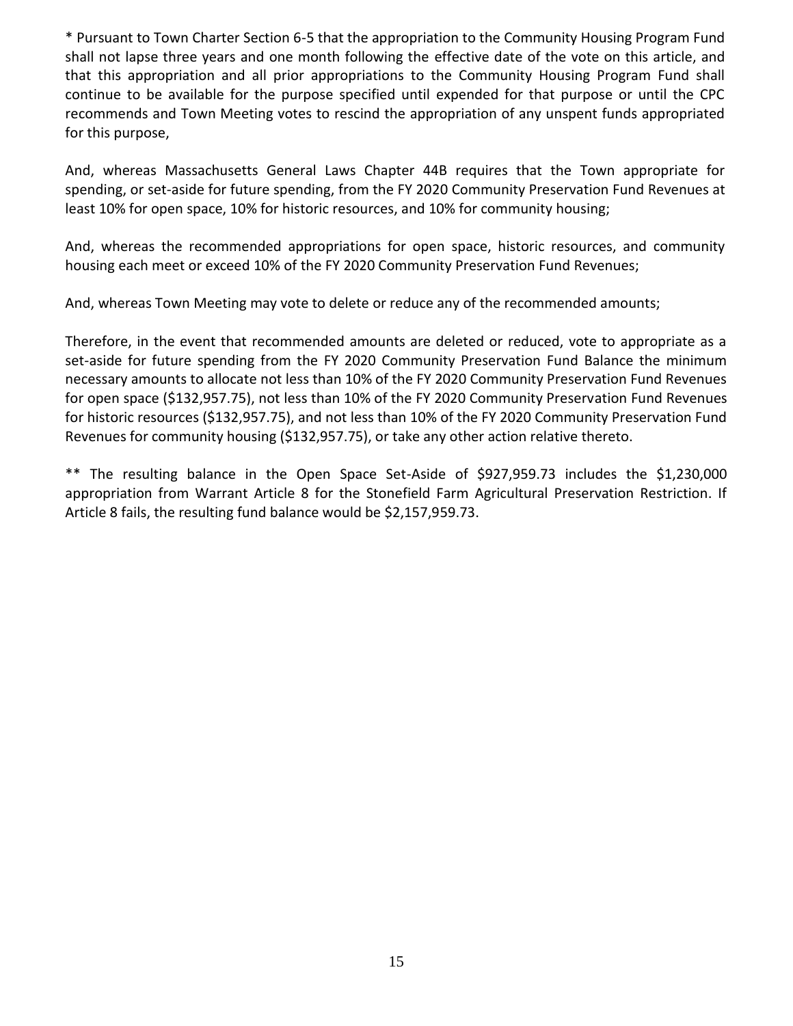\* Pursuant to Town Charter Section 6-5 that the appropriation to the Community Housing Program Fund shall not lapse three years and one month following the effective date of the vote on this article, and that this appropriation and all prior appropriations to the Community Housing Program Fund shall continue to be available for the purpose specified until expended for that purpose or until the CPC recommends and Town Meeting votes to rescind the appropriation of any unspent funds appropriated for this purpose,

And, whereas Massachusetts General Laws Chapter 44B requires that the Town appropriate for spending, or set-aside for future spending, from the FY 2020 Community Preservation Fund Revenues at least 10% for open space, 10% for historic resources, and 10% for community housing;

And, whereas the recommended appropriations for open space, historic resources, and community housing each meet or exceed 10% of the FY 2020 Community Preservation Fund Revenues;

And, whereas Town Meeting may vote to delete or reduce any of the recommended amounts;

Therefore, in the event that recommended amounts are deleted or reduced, vote to appropriate as a set-aside for future spending from the FY 2020 Community Preservation Fund Balance the minimum necessary amounts to allocate not less than 10% of the FY 2020 Community Preservation Fund Revenues for open space (\$132,957.75), not less than 10% of the FY 2020 Community Preservation Fund Revenues for historic resources (\$132,957.75), and not less than 10% of the FY 2020 Community Preservation Fund Revenues for community housing (\$132,957.75), or take any other action relative thereto.

\*\* The resulting balance in the Open Space Set-Aside of \$927,959.73 includes the \$1,230,000 appropriation from Warrant Article 8 for the Stonefield Farm Agricultural Preservation Restriction. If Article 8 fails, the resulting fund balance would be \$2,157,959.73.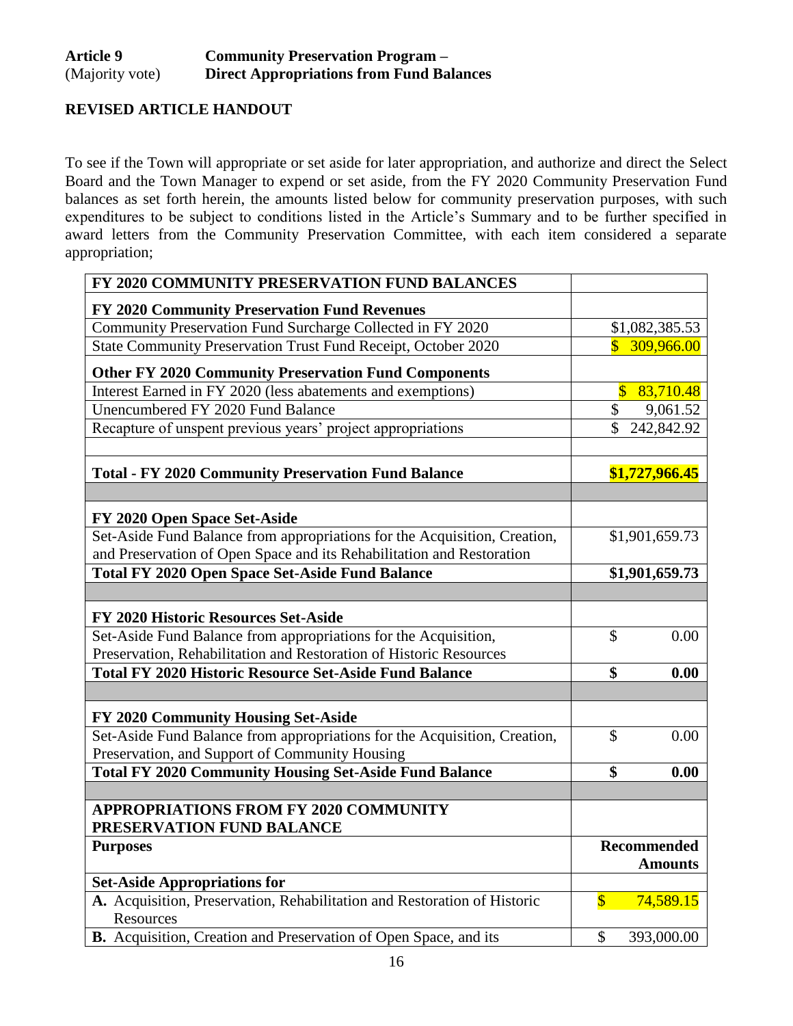# **REVISED ARTICLE HANDOUT**

To see if the Town will appropriate or set aside for later appropriation, and authorize and direct the Select Board and the Town Manager to expend or set aside, from the FY 2020 Community Preservation Fund balances as set forth herein, the amounts listed below for community preservation purposes, with such expenditures to be subject to conditions listed in the Article's Summary and to be further specified in award letters from the Community Preservation Committee, with each item considered a separate appropriation;

| FY 2020 COMMUNITY PRESERVATION FUND BALANCES                                                                     |                           |                               |
|------------------------------------------------------------------------------------------------------------------|---------------------------|-------------------------------|
| FY 2020 Community Preservation Fund Revenues                                                                     |                           |                               |
| Community Preservation Fund Surcharge Collected in FY 2020                                                       |                           | \$1,082,385.53                |
| State Community Preservation Trust Fund Receipt, October 2020                                                    | \$.                       | 309,966.00                    |
| <b>Other FY 2020 Community Preservation Fund Components</b>                                                      |                           |                               |
| Interest Earned in FY 2020 (less abatements and exemptions)                                                      | $\overline{\mathbb{S}}$   | 83,710.48                     |
| Unencumbered FY 2020 Fund Balance                                                                                | \$                        | 9,061.52                      |
| Recapture of unspent previous years' project appropriations                                                      | \$                        | 242,842.92                    |
| <b>Total - FY 2020 Community Preservation Fund Balance</b>                                                       |                           | \$1,727,966.45                |
|                                                                                                                  |                           |                               |
| FY 2020 Open Space Set-Aside                                                                                     |                           |                               |
| Set-Aside Fund Balance from appropriations for the Acquisition, Creation,                                        |                           | \$1,901,659.73                |
| and Preservation of Open Space and its Rehabilitation and Restoration                                            |                           |                               |
| <b>Total FY 2020 Open Space Set-Aside Fund Balance</b>                                                           |                           | \$1,901,659.73                |
|                                                                                                                  |                           |                               |
| FY 2020 Historic Resources Set-Aside                                                                             |                           |                               |
| Set-Aside Fund Balance from appropriations for the Acquisition,                                                  | \$                        | 0.00                          |
| Preservation, Rehabilitation and Restoration of Historic Resources                                               |                           |                               |
| <b>Total FY 2020 Historic Resource Set-Aside Fund Balance</b>                                                    | \$                        | 0.00                          |
|                                                                                                                  |                           |                               |
| FY 2020 Community Housing Set-Aside<br>Set-Aside Fund Balance from appropriations for the Acquisition, Creation, | $\mathcal{S}$             | 0.00                          |
| Preservation, and Support of Community Housing                                                                   |                           |                               |
| <b>Total FY 2020 Community Housing Set-Aside Fund Balance</b>                                                    | \$                        | 0.00                          |
|                                                                                                                  |                           |                               |
| <b>APPROPRIATIONS FROM FY 2020 COMMUNITY</b>                                                                     |                           |                               |
| PRESERVATION FUND BALANCE                                                                                        |                           |                               |
| <b>Purposes</b>                                                                                                  |                           | Recommended<br><b>Amounts</b> |
| <b>Set-Aside Appropriations for</b>                                                                              |                           |                               |
| A. Acquisition, Preservation, Rehabilitation and Restoration of Historic<br>Resources                            | $\boldsymbol{\mathsf{S}}$ | 74,589.15                     |
| B. Acquisition, Creation and Preservation of Open Space, and its                                                 | $\mathcal{S}$             | 393,000.00                    |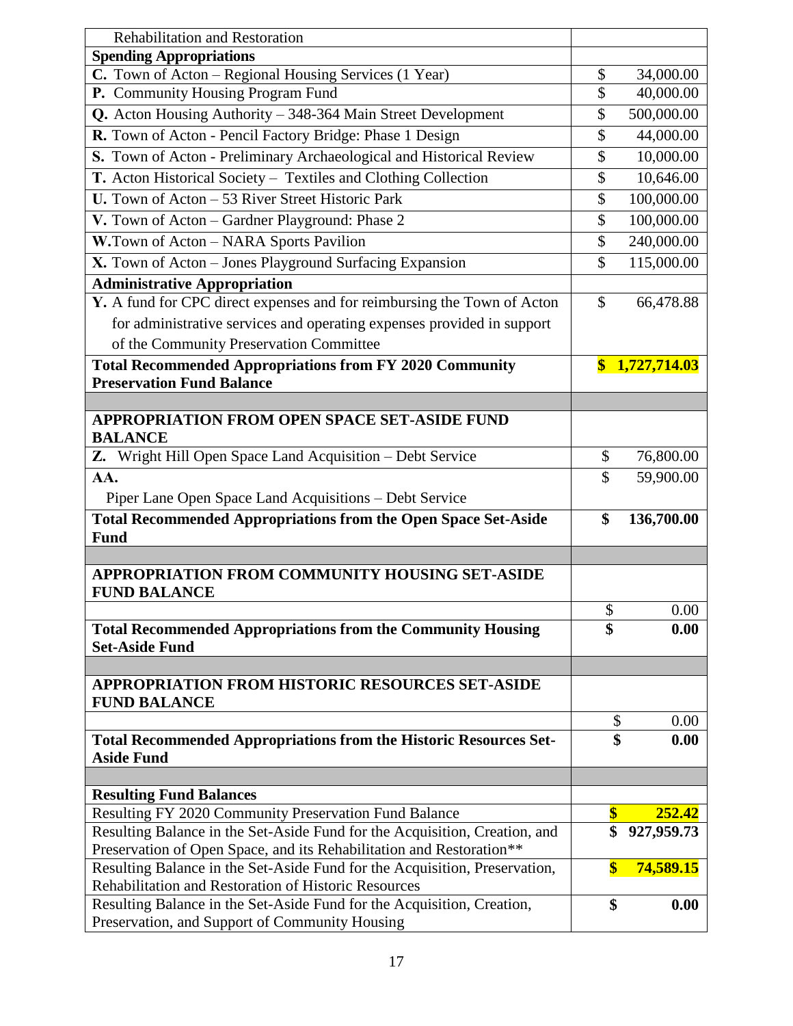| <b>Rehabilitation and Restoration</b>                                                                                              |                         |                  |
|------------------------------------------------------------------------------------------------------------------------------------|-------------------------|------------------|
| <b>Spending Appropriations</b>                                                                                                     |                         |                  |
| C. Town of Acton - Regional Housing Services (1 Year)                                                                              | \$                      | 34,000.00        |
| P. Community Housing Program Fund                                                                                                  | \$                      | 40,000.00        |
| Q. Acton Housing Authority - 348-364 Main Street Development                                                                       | \$                      | 500,000.00       |
| R. Town of Acton - Pencil Factory Bridge: Phase 1 Design                                                                           | \$                      | 44,000.00        |
| S. Town of Acton - Preliminary Archaeological and Historical Review                                                                | \$                      | 10,000.00        |
| T. Acton Historical Society - Textiles and Clothing Collection                                                                     | \$                      | 10,646.00        |
| U. Town of Acton - 53 River Street Historic Park                                                                                   | \$                      | 100,000.00       |
| V. Town of Acton - Gardner Playground: Phase 2                                                                                     | \$                      | 100,000.00       |
| W.Town of Acton - NARA Sports Pavilion                                                                                             | \$                      | 240,000.00       |
| X. Town of Acton - Jones Playground Surfacing Expansion                                                                            | \$                      | 115,000.00       |
| <b>Administrative Appropriation</b>                                                                                                |                         |                  |
| Y. A fund for CPC direct expenses and for reimbursing the Town of Acton                                                            | \$                      | 66,478.88        |
| for administrative services and operating expenses provided in support                                                             |                         |                  |
| of the Community Preservation Committee                                                                                            |                         |                  |
| <b>Total Recommended Appropriations from FY 2020 Community</b>                                                                     | $\mathbf{\$}$           | 1,727,714.03     |
| <b>Preservation Fund Balance</b>                                                                                                   |                         |                  |
|                                                                                                                                    |                         |                  |
| <b>APPROPRIATION FROM OPEN SPACE SET-ASIDE FUND</b><br><b>BALANCE</b>                                                              |                         |                  |
| Z. Wright Hill Open Space Land Acquisition – Debt Service                                                                          | \$                      | 76,800.00        |
| AA.                                                                                                                                | \$                      | 59,900.00        |
| Piper Lane Open Space Land Acquisitions - Debt Service                                                                             |                         |                  |
| <b>Total Recommended Appropriations from the Open Space Set-Aside</b>                                                              | \$                      | 136,700.00       |
| <b>Fund</b>                                                                                                                        |                         |                  |
|                                                                                                                                    |                         |                  |
| <b>APPROPRIATION FROM COMMUNITY HOUSING SET-ASIDE</b><br><b>FUND BALANCE</b>                                                       |                         |                  |
|                                                                                                                                    | $\$$                    | 0.00             |
| <b>Total Recommended Appropriations from the Community Housing</b><br><b>Set-Aside Fund</b>                                        | \$                      | 0.00             |
|                                                                                                                                    |                         |                  |
| APPROPRIATION FROM HISTORIC RESOURCES SET-ASIDE<br><b>FUND BALANCE</b>                                                             |                         |                  |
|                                                                                                                                    | \$                      | 0.00             |
| <b>Total Recommended Appropriations from the Historic Resources Set-</b>                                                           | \$                      | 0.00             |
| <b>Aside Fund</b>                                                                                                                  |                         |                  |
|                                                                                                                                    |                         |                  |
| <b>Resulting Fund Balances</b>                                                                                                     |                         |                  |
| Resulting FY 2020 Community Preservation Fund Balance                                                                              | \$                      | <u>252.42</u>    |
| Resulting Balance in the Set-Aside Fund for the Acquisition, Creation, and                                                         | \$                      | 927,959.73       |
| Preservation of Open Space, and its Rehabilitation and Restoration**                                                               |                         |                  |
| Resulting Balance in the Set-Aside Fund for the Acquisition, Preservation,<br>Rehabilitation and Restoration of Historic Resources | $\overline{\mathbb{S}}$ | <b>74,589.15</b> |
| Resulting Balance in the Set-Aside Fund for the Acquisition, Creation,                                                             | \$                      | 0.00             |
| Preservation, and Support of Community Housing                                                                                     |                         |                  |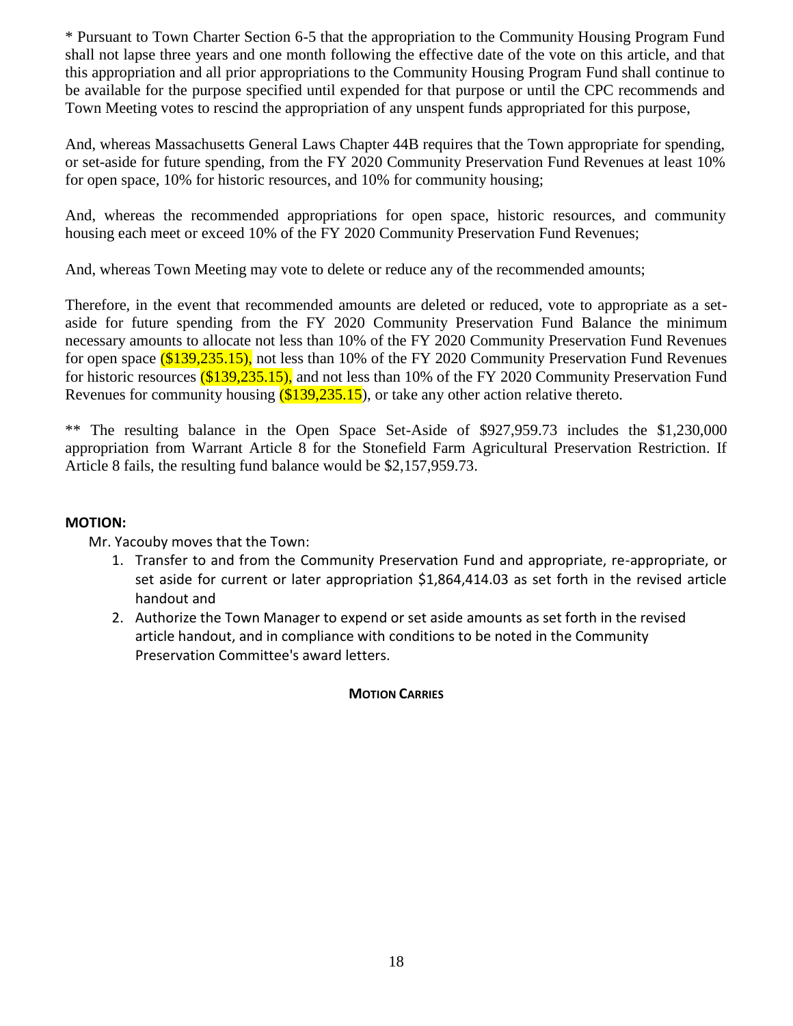\* Pursuant to Town Charter Section 6-5 that the appropriation to the Community Housing Program Fund shall not lapse three years and one month following the effective date of the vote on this article, and that this appropriation and all prior appropriations to the Community Housing Program Fund shall continue to be available for the purpose specified until expended for that purpose or until the CPC recommends and Town Meeting votes to rescind the appropriation of any unspent funds appropriated for this purpose,

And, whereas Massachusetts General Laws Chapter 44B requires that the Town appropriate for spending, or set-aside for future spending, from the FY 2020 Community Preservation Fund Revenues at least 10% for open space, 10% for historic resources, and 10% for community housing;

And, whereas the recommended appropriations for open space, historic resources, and community housing each meet or exceed 10% of the FY 2020 Community Preservation Fund Revenues;

And, whereas Town Meeting may vote to delete or reduce any of the recommended amounts;

Therefore, in the event that recommended amounts are deleted or reduced, vote to appropriate as a setaside for future spending from the FY 2020 Community Preservation Fund Balance the minimum necessary amounts to allocate not less than 10% of the FY 2020 Community Preservation Fund Revenues for open space (\$139,235.15), not less than 10% of the FY 2020 Community Preservation Fund Revenues for historic resources (\$139,235.15), and not less than 10% of the FY 2020 Community Preservation Fund Revenues for community housing (\$139,235.15), or take any other action relative thereto.

\*\* The resulting balance in the Open Space Set-Aside of \$927,959.73 includes the \$1,230,000 appropriation from Warrant Article 8 for the Stonefield Farm Agricultural Preservation Restriction. If Article 8 fails, the resulting fund balance would be \$2,157,959.73.

#### **MOTION:**

Mr. Yacouby moves that the Town:

- 1. Transfer to and from the Community Preservation Fund and appropriate, re-appropriate, or set aside for current or later appropriation \$1,864,414.03 as set forth in the revised article handout and
- 2. Authorize the Town Manager to expend or set aside amounts as set forth in the revised article handout, and in compliance with conditions to be noted in the Community Preservation Committee's award letters.

#### **MOTION CARRIES**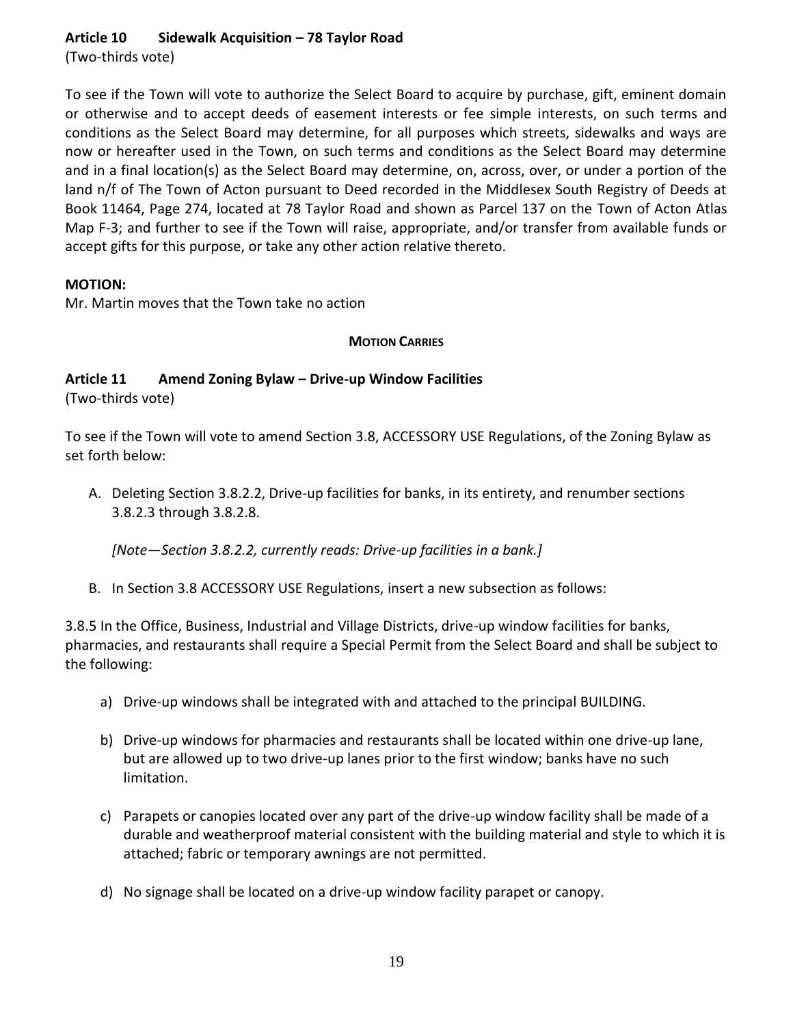# **Article 10 Sidewalk Acquisition – 78 Taylor Road**

(Two-thirds vote)

To see if the Town will vote to authorize the Select Board to acquire by purchase, gift, eminent domain or otherwise and to accept deeds of easement interests or fee simple interests, on such terms and conditions as the Select Board may determine, for all purposes which streets, sidewalks and ways are now or hereafter used in the Town, on such terms and conditions as the Select Board may determine and in a final location(s) as the Select Board may determine, on, across, over, or under a portion of the land n/f of The Town of Acton pursuant to Deed recorded in the Middlesex South Registry of Deeds at Book 11464, Page 274, located at 78 Taylor Road and shown as Parcel 137 on the Town of Acton Atlas Map F-3; and further to see if the Town will raise, appropriate, and/or transfer from available funds or accept gifts for this purpose, or take any other action relative thereto.

# **MOTION:**

Mr. Martin moves that the Town take no action

# **MOTION CARRIES**

#### **Article 11 Amend Zoning Bylaw – Drive-up Window Facilities** (Two-thirds vote)

To see if the Town will vote to amend Section 3.8, ACCESSORY USE Regulations, of the Zoning Bylaw as set forth below:

A. Deleting Section 3.8.2.2, Drive-up facilities for banks, in its entirety, and renumber sections 3.8.2.3 through 3.8.2.8.

*[Note—Section 3.8.2.2, currently reads: Drive-up facilities in a bank.]*

B. In Section 3.8 ACCESSORY USE Regulations, insert a new subsection as follows:

3.8.5 In the Office, Business, Industrial and Village Districts, drive-up window facilities for banks, pharmacies, and restaurants shall require a Special Permit from the Select Board and shall be subject to the following:

- a) Drive-up windows shall be integrated with and attached to the principal BUILDING.
- b) Drive-up windows for pharmacies and restaurants shall be located within one drive-up lane, but are allowed up to two drive-up lanes prior to the first window; banks have no such limitation.
- c) Parapets or canopies located over any part of the drive-up window facility shall be made of a durable and weatherproof material consistent with the building material and style to which it is attached; fabric or temporary awnings are not permitted.
- d) No signage shall be located on a drive-up window facility parapet or canopy.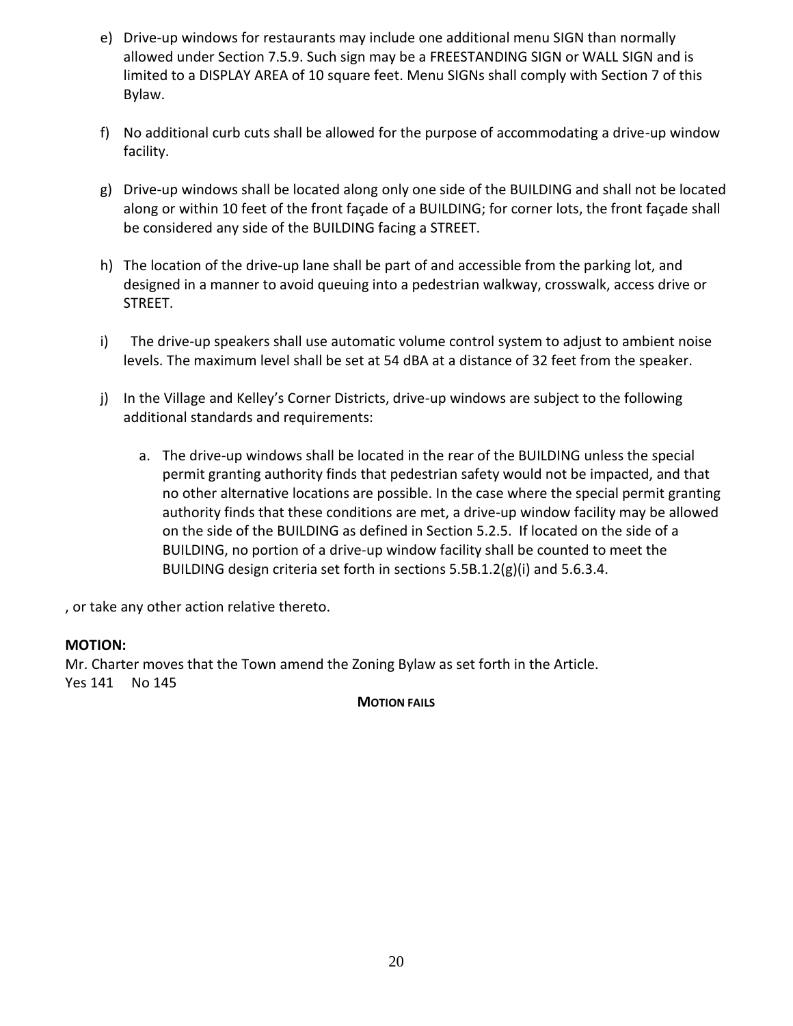- e) Drive-up windows for restaurants may include one additional menu SIGN than normally allowed under Section 7.5.9. Such sign may be a FREESTANDING SIGN or WALL SIGN and is limited to a DISPLAY AREA of 10 square feet. Menu SIGNs shall comply with Section 7 of this Bylaw.
- f) No additional curb cuts shall be allowed for the purpose of accommodating a drive-up window facility.
- g) Drive-up windows shall be located along only one side of the BUILDING and shall not be located along or within 10 feet of the front façade of a BUILDING; for corner lots, the front façade shall be considered any side of the BUILDING facing a STREET.
- h) The location of the drive-up lane shall be part of and accessible from the parking lot, and designed in a manner to avoid queuing into a pedestrian walkway, crosswalk, access drive or STREET.
- i) The drive-up speakers shall use automatic volume control system to adjust to ambient noise levels. The maximum level shall be set at 54 dBA at a distance of 32 feet from the speaker.
- j) In the Village and Kelley's Corner Districts, drive-up windows are subject to the following additional standards and requirements:
	- a. The drive-up windows shall be located in the rear of the BUILDING unless the special permit granting authority finds that pedestrian safety would not be impacted, and that no other alternative locations are possible. In the case where the special permit granting authority finds that these conditions are met, a drive-up window facility may be allowed on the side of the BUILDING as defined in Section 5.2.5. If located on the side of a BUILDING, no portion of a drive-up window facility shall be counted to meet the BUILDING design criteria set forth in sections 5.5B.1.2(g)(i) and 5.6.3.4.

, or take any other action relative thereto.

#### **MOTION:**

Mr. Charter moves that the Town amend the Zoning Bylaw as set forth in the Article. Yes 141 No 145

#### **MOTION FAILS**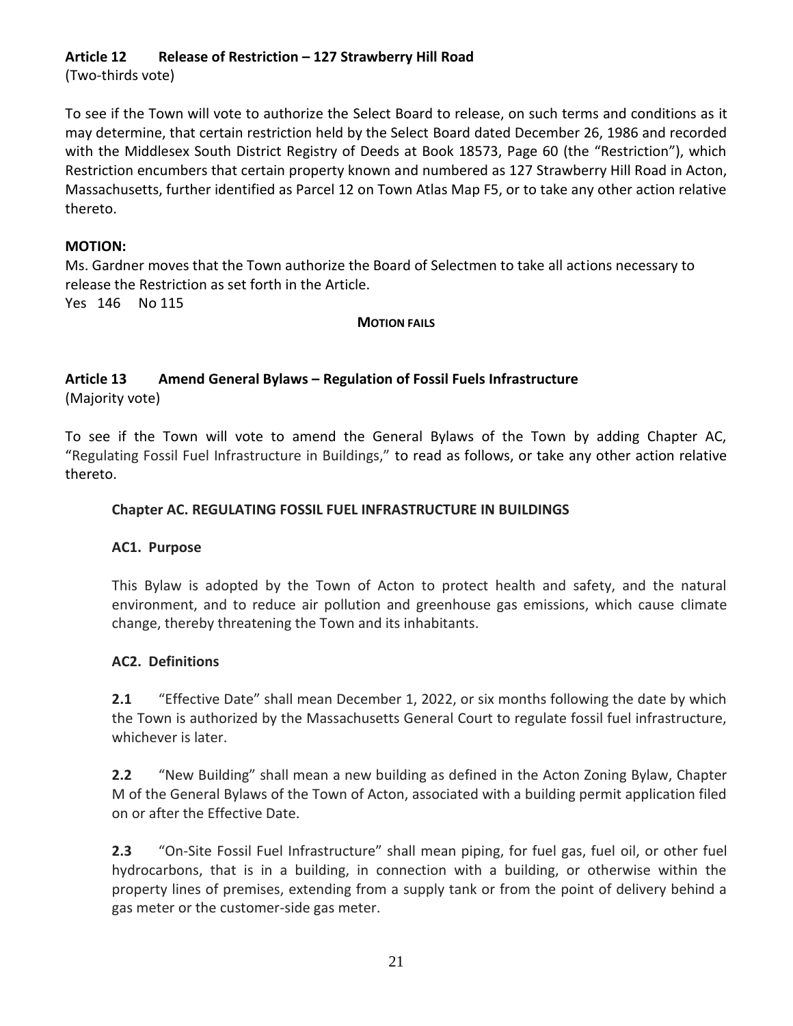# **Article 12 Release of Restriction – 127 Strawberry Hill Road**

(Two-thirds vote)

To see if the Town will vote to authorize the Select Board to release, on such terms and conditions as it may determine, that certain restriction held by the Select Board dated December 26, 1986 and recorded with the Middlesex South District Registry of Deeds at Book 18573, Page 60 (the "Restriction"), which Restriction encumbers that certain property known and numbered as 127 Strawberry Hill Road in Acton, Massachusetts, further identified as Parcel 12 on Town Atlas Map F5, or to take any other action relative thereto.

#### **MOTION:**

Ms. Gardner moves that the Town authorize the Board of Selectmen to take all actions necessary to release the Restriction as set forth in the Article. Yes 146 No 115

#### **MOTION FAILS**

# **Article 13 Amend General Bylaws – Regulation of Fossil Fuels Infrastructure**

(Majority vote)

To see if the Town will vote to amend the General Bylaws of the Town by adding Chapter AC, "Regulating Fossil Fuel Infrastructure in Buildings," to read as follows, or take any other action relative thereto.

### **Chapter AC. REGULATING FOSSIL FUEL INFRASTRUCTURE IN BUILDINGS**

#### **AC1. Purpose**

This Bylaw is adopted by the Town of Acton to protect health and safety, and the natural environment, and to reduce air pollution and greenhouse gas emissions, which cause climate change, thereby threatening the Town and its inhabitants.

#### **AC2. Definitions**

**2.1** "Effective Date" shall mean December 1, 2022, or six months following the date by which the Town is authorized by the Massachusetts General Court to regulate fossil fuel infrastructure, whichever is later.

**2.2** "New Building" shall mean a new building as defined in the Acton Zoning Bylaw, Chapter M of the General Bylaws of the Town of Acton, associated with a building permit application filed on or after the Effective Date.

**2.3** "On-Site Fossil Fuel Infrastructure" shall mean piping, for fuel gas, fuel oil, or other fuel hydrocarbons, that is in a building, in connection with a building, or otherwise within the property lines of premises, extending from a supply tank or from the point of delivery behind a gas meter or the customer-side gas meter.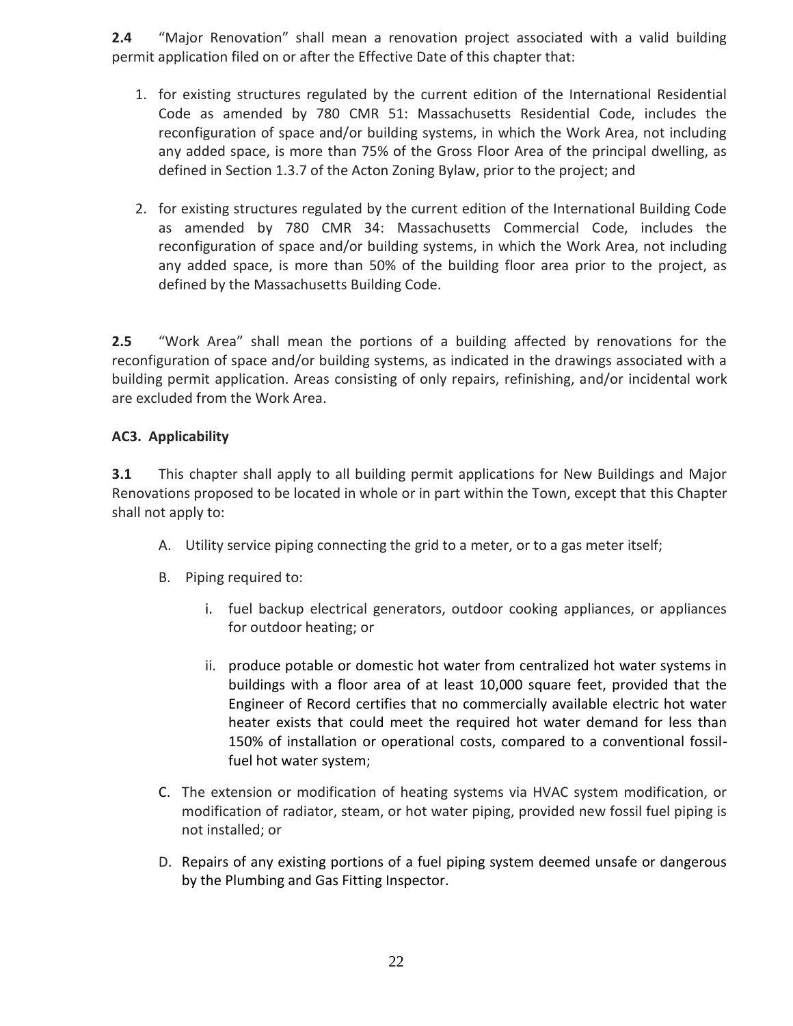**2.4** "Major Renovation" shall mean a renovation project associated with a valid building permit application filed on or after the Effective Date of this chapter that:

- 1. for existing structures regulated by the current edition of the International Residential Code as amended by 780 CMR 51: Massachusetts Residential Code, includes the reconfiguration of space and/or building systems, in which the Work Area, not including any added space, is more than 75% of the Gross Floor Area of the principal dwelling, as defined in Section 1.3.7 of the Acton Zoning Bylaw, prior to the project; and
- 2. for existing structures regulated by the current edition of the International Building Code as amended by 780 CMR 34: Massachusetts Commercial Code, includes the reconfiguration of space and/or building systems, in which the Work Area, not including any added space, is more than 50% of the building floor area prior to the project, as defined by the Massachusetts Building Code.

**2.5** "Work Area" shall mean the portions of a building affected by renovations for the reconfiguration of space and/or building systems, as indicated in the drawings associated with a building permit application. Areas consisting of only repairs, refinishing, and/or incidental work are excluded from the Work Area.

# **AC3. Applicability**

**3.1** This chapter shall apply to all building permit applications for New Buildings and Major Renovations proposed to be located in whole or in part within the Town, except that this Chapter shall not apply to:

- A. Utility service piping connecting the grid to a meter, or to a gas meter itself;
- B. Piping required to:
	- i. fuel backup electrical generators, outdoor cooking appliances, or appliances for outdoor heating; or
	- ii. produce potable or domestic hot water from centralized hot water systems in buildings with a floor area of at least 10,000 square feet, provided that the Engineer of Record certifies that no commercially available electric hot water heater exists that could meet the required hot water demand for less than 150% of installation or operational costs, compared to a conventional fossilfuel hot water system;
- C. The extension or modification of heating systems via HVAC system modification, or modification of radiator, steam, or hot water piping, provided new fossil fuel piping is not installed; or
- D. Repairs of any existing portions of a fuel piping system deemed unsafe or dangerous by the Plumbing and Gas Fitting Inspector.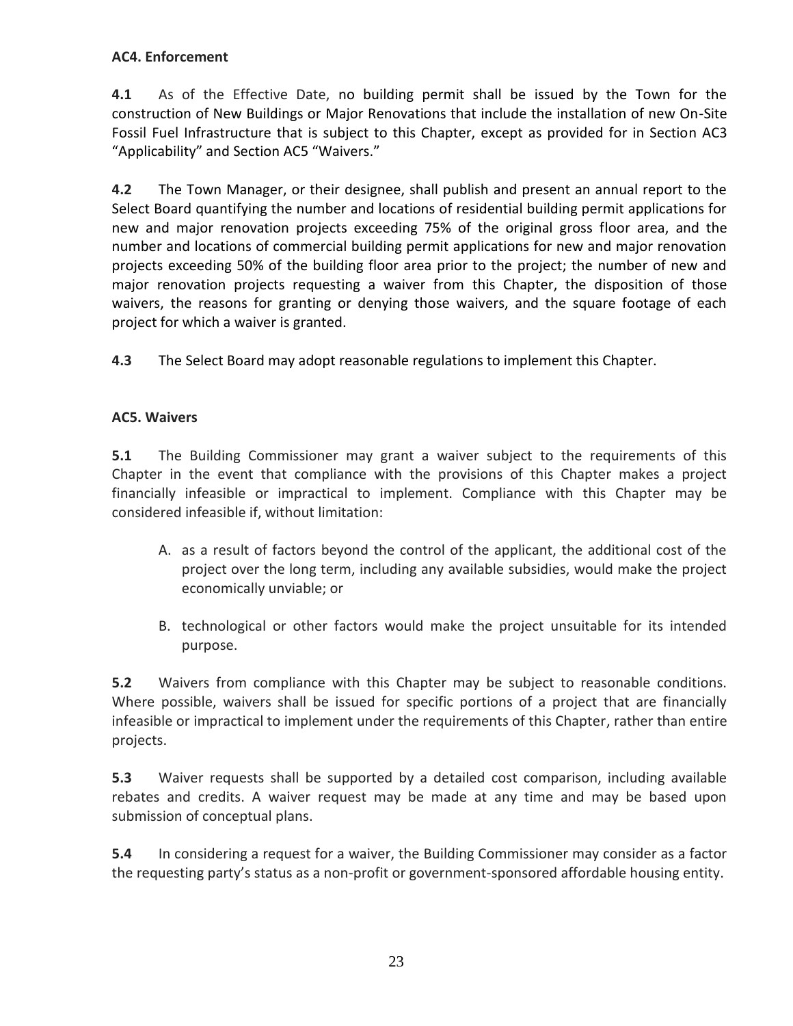# **AC4. Enforcement**

**4.1** As of the Effective Date, no building permit shall be issued by the Town for the construction of New Buildings or Major Renovations that include the installation of new On-Site Fossil Fuel Infrastructure that is subject to this Chapter, except as provided for in Section AC3 "Applicability" and Section AC5 "Waivers."

**4.2** The Town Manager, or their designee, shall publish and present an annual report to the Select Board quantifying the number and locations of residential building permit applications for new and major renovation projects exceeding 75% of the original gross floor area, and the number and locations of commercial building permit applications for new and major renovation projects exceeding 50% of the building floor area prior to the project; the number of new and major renovation projects requesting a waiver from this Chapter, the disposition of those waivers, the reasons for granting or denying those waivers, and the square footage of each project for which a waiver is granted.

**4.3** The Select Board may adopt reasonable regulations to implement this Chapter.

# **AC5. Waivers**

**5.1** The Building Commissioner may grant a waiver subject to the requirements of this Chapter in the event that compliance with the provisions of this Chapter makes a project financially infeasible or impractical to implement. Compliance with this Chapter may be considered infeasible if, without limitation:

- A. as a result of factors beyond the control of the applicant, the additional cost of the project over the long term, including any available subsidies, would make the project economically unviable; or
- B. technological or other factors would make the project unsuitable for its intended purpose.

**5.2** Waivers from compliance with this Chapter may be subject to reasonable conditions. Where possible, waivers shall be issued for specific portions of a project that are financially infeasible or impractical to implement under the requirements of this Chapter, rather than entire projects.

**5.3** Waiver requests shall be supported by a detailed cost comparison, including available rebates and credits. A waiver request may be made at any time and may be based upon submission of conceptual plans.

**5.4** In considering a request for a waiver, the Building Commissioner may consider as a factor the requesting party's status as a non-profit or government-sponsored affordable housing entity.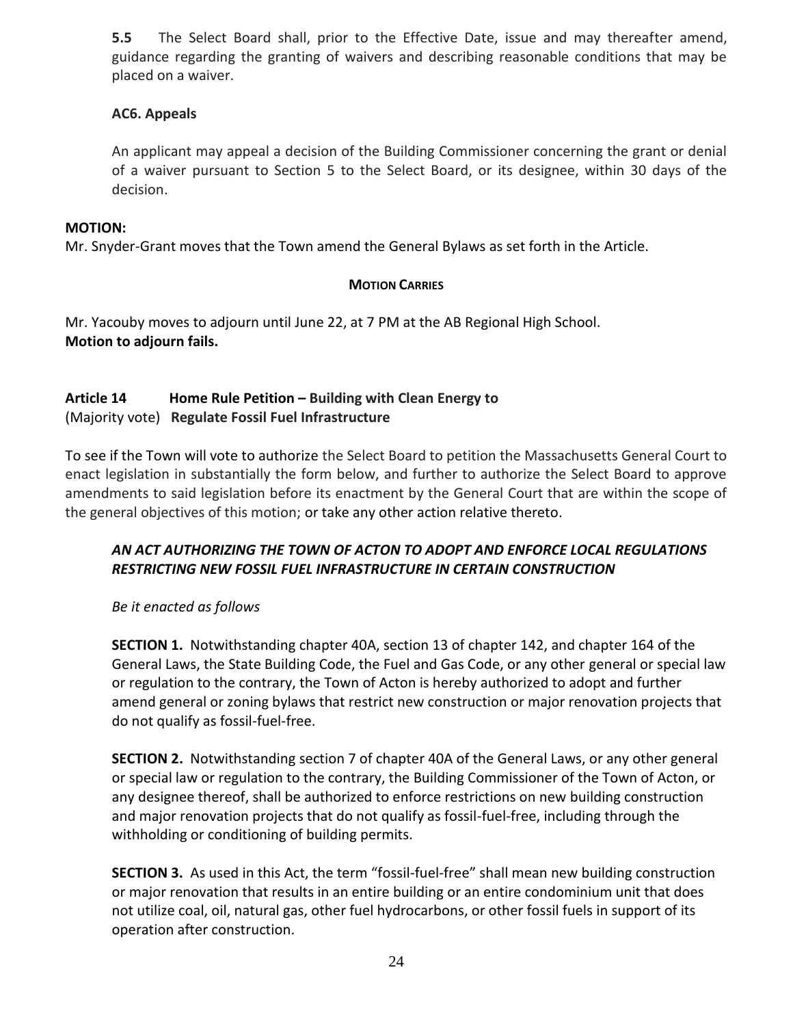**5.5** The Select Board shall, prior to the Effective Date, issue and may thereafter amend, guidance regarding the granting of waivers and describing reasonable conditions that may be placed on a waiver.

### **AC6. Appeals**

An applicant may appeal a decision of the Building Commissioner concerning the grant or denial of a waiver pursuant to Section 5 to the Select Board, or its designee, within 30 days of the decision.

#### **MOTION:**

Mr. Snyder-Grant moves that the Town amend the General Bylaws as set forth in the Article.

# **MOTION CARRIES**

Mr. Yacouby moves to adjourn until June 22, at 7 PM at the AB Regional High School. **Motion to adjourn fails.**

# **Article 14 Home Rule Petition – Building with Clean Energy to**  (Majority vote) **Regulate Fossil Fuel Infrastructure**

To see if the Town will vote to authorize the Select Board to petition the Massachusetts General Court to enact legislation in substantially the form below, and further to authorize the Select Board to approve amendments to said legislation before its enactment by the General Court that are within the scope of the general objectives of this motion; or take any other action relative thereto.

# *AN ACT AUTHORIZING THE TOWN OF ACTON TO ADOPT AND ENFORCE LOCAL REGULATIONS RESTRICTING NEW FOSSIL FUEL INFRASTRUCTURE IN CERTAIN CONSTRUCTION*

*Be it enacted as follows*

**SECTION 1.** Notwithstanding chapter 40A, section 13 of chapter 142, and chapter 164 of the General Laws, the State Building Code, the Fuel and Gas Code, or any other general or special law or regulation to the contrary, the Town of Acton is hereby authorized to adopt and further amend general or zoning bylaws that restrict new construction or major renovation projects that do not qualify as fossil-fuel-free.

**SECTION 2.** Notwithstanding section 7 of chapter 40A of the General Laws, or any other general or special law or regulation to the contrary, the Building Commissioner of the Town of Acton, or any designee thereof, shall be authorized to enforce restrictions on new building construction and major renovation projects that do not qualify as fossil-fuel-free, including through the withholding or conditioning of building permits.

**SECTION 3.** As used in this Act, the term "fossil-fuel-free" shall mean new building construction or major renovation that results in an entire building or an entire condominium unit that does not utilize coal, oil, natural gas, other fuel hydrocarbons, or other fossil fuels in support of its operation after construction.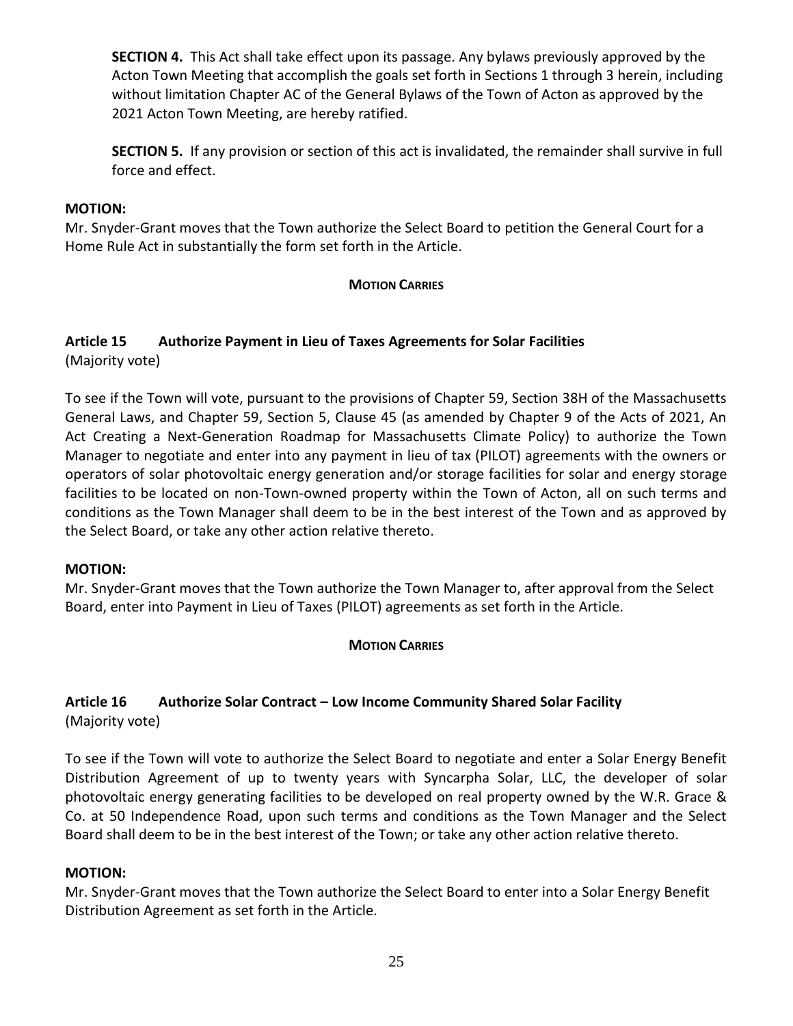**SECTION 4.** This Act shall take effect upon its passage. Any bylaws previously approved by the Acton Town Meeting that accomplish the goals set forth in Sections 1 through 3 herein, including without limitation Chapter AC of the General Bylaws of the Town of Acton as approved by the 2021 Acton Town Meeting, are hereby ratified.

**SECTION 5.** If any provision or section of this act is invalidated, the remainder shall survive in full force and effect.

#### **MOTION:**

Mr. Snyder-Grant moves that the Town authorize the Select Board to petition the General Court for a Home Rule Act in substantially the form set forth in the Article.

#### **MOTION CARRIES**

#### **Article 15 Authorize Payment in Lieu of Taxes Agreements for Solar Facilities**  (Majority vote)

To see if the Town will vote, pursuant to the provisions of Chapter 59, Section 38H of the Massachusetts General Laws, and Chapter 59, Section 5, Clause 45 (as amended by Chapter 9 of the Acts of 2021, An Act Creating a Next-Generation Roadmap for Massachusetts Climate Policy) to authorize the Town Manager to negotiate and enter into any payment in lieu of tax (PILOT) agreements with the owners or operators of solar photovoltaic energy generation and/or storage facilities for solar and energy storage facilities to be located on non-Town-owned property within the Town of Acton, all on such terms and conditions as the Town Manager shall deem to be in the best interest of the Town and as approved by the Select Board, or take any other action relative thereto.

#### **MOTION:**

Mr. Snyder-Grant moves that the Town authorize the Town Manager to, after approval from the Select Board, enter into Payment in Lieu of Taxes (PILOT) agreements as set forth in the Article.

# **MOTION CARRIES**

# **Article 16 Authorize Solar Contract – Low Income Community Shared Solar Facility** (Majority vote)

To see if the Town will vote to authorize the Select Board to negotiate and enter a Solar Energy Benefit Distribution Agreement of up to twenty years with Syncarpha Solar, LLC, the developer of solar photovoltaic energy generating facilities to be developed on real property owned by the W.R. Grace & Co. at 50 Independence Road, upon such terms and conditions as the Town Manager and the Select Board shall deem to be in the best interest of the Town; or take any other action relative thereto.

#### **MOTION:**

Mr. Snyder-Grant moves that the Town authorize the Select Board to enter into a Solar Energy Benefit Distribution Agreement as set forth in the Article.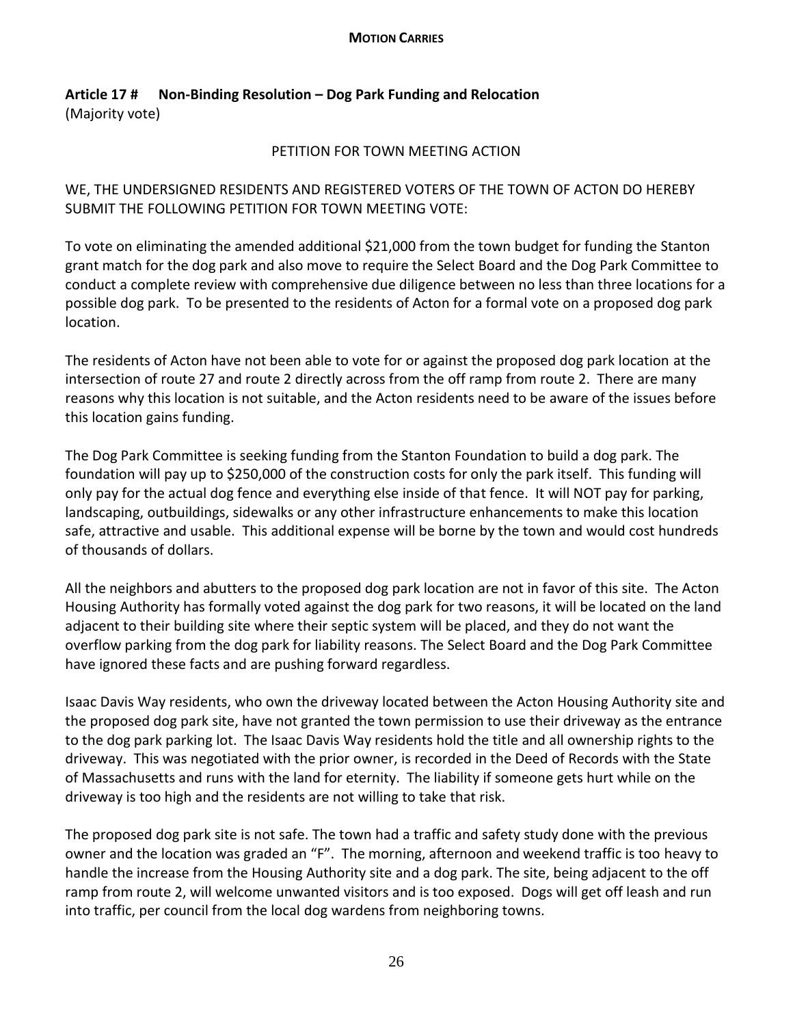#### **MOTION CARRIES**

# **Article 17 # Non-Binding Resolution – Dog Park Funding and Relocation** (Majority vote)

#### PETITION FOR TOWN MEETING ACTION

WE, THE UNDERSIGNED RESIDENTS AND REGISTERED VOTERS OF THE TOWN OF ACTON DO HEREBY SUBMIT THE FOLLOWING PETITION FOR TOWN MEETING VOTE:

To vote on eliminating the amended additional \$21,000 from the town budget for funding the Stanton grant match for the dog park and also move to require the Select Board and the Dog Park Committee to conduct a complete review with comprehensive due diligence between no less than three locations for a possible dog park. To be presented to the residents of Acton for a formal vote on a proposed dog park location.

The residents of Acton have not been able to vote for or against the proposed dog park location at the intersection of route 27 and route 2 directly across from the off ramp from route 2. There are many reasons why this location is not suitable, and the Acton residents need to be aware of the issues before this location gains funding.

The Dog Park Committee is seeking funding from the Stanton Foundation to build a dog park. The foundation will pay up to \$250,000 of the construction costs for only the park itself. This funding will only pay for the actual dog fence and everything else inside of that fence. It will NOT pay for parking, landscaping, outbuildings, sidewalks or any other infrastructure enhancements to make this location safe, attractive and usable. This additional expense will be borne by the town and would cost hundreds of thousands of dollars.

All the neighbors and abutters to the proposed dog park location are not in favor of this site. The Acton Housing Authority has formally voted against the dog park for two reasons, it will be located on the land adjacent to their building site where their septic system will be placed, and they do not want the overflow parking from the dog park for liability reasons. The Select Board and the Dog Park Committee have ignored these facts and are pushing forward regardless.

Isaac Davis Way residents, who own the driveway located between the Acton Housing Authority site and the proposed dog park site, have not granted the town permission to use their driveway as the entrance to the dog park parking lot. The Isaac Davis Way residents hold the title and all ownership rights to the driveway. This was negotiated with the prior owner, is recorded in the Deed of Records with the State of Massachusetts and runs with the land for eternity. The liability if someone gets hurt while on the driveway is too high and the residents are not willing to take that risk.

The proposed dog park site is not safe. The town had a traffic and safety study done with the previous owner and the location was graded an "F". The morning, afternoon and weekend traffic is too heavy to handle the increase from the Housing Authority site and a dog park. The site, being adjacent to the off ramp from route 2, will welcome unwanted visitors and is too exposed. Dogs will get off leash and run into traffic, per council from the local dog wardens from neighboring towns.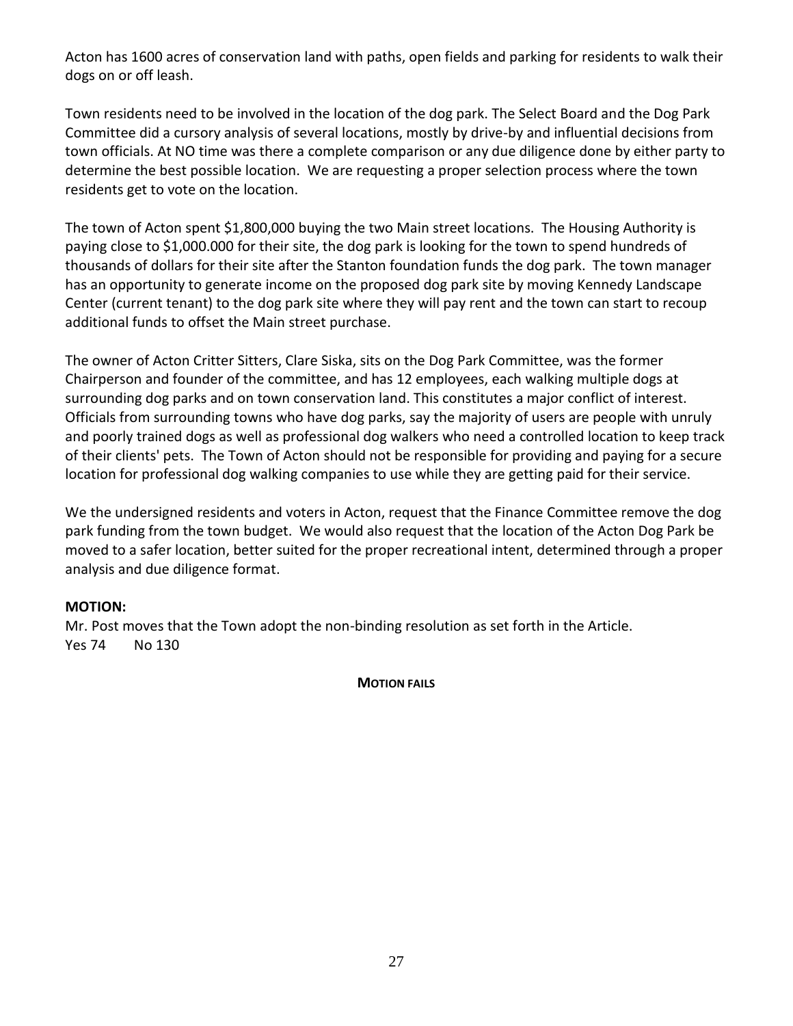Acton has 1600 acres of conservation land with paths, open fields and parking for residents to walk their dogs on or off leash.

Town residents need to be involved in the location of the dog park. The Select Board and the Dog Park Committee did a cursory analysis of several locations, mostly by drive-by and influential decisions from town officials. At NO time was there a complete comparison or any due diligence done by either party to determine the best possible location. We are requesting a proper selection process where the town residents get to vote on the location.

The town of Acton spent \$1,800,000 buying the two Main street locations. The Housing Authority is paying close to \$1,000.000 for their site, the dog park is looking for the town to spend hundreds of thousands of dollars for their site after the Stanton foundation funds the dog park. The town manager has an opportunity to generate income on the proposed dog park site by moving Kennedy Landscape Center (current tenant) to the dog park site where they will pay rent and the town can start to recoup additional funds to offset the Main street purchase.

The owner of Acton Critter Sitters, Clare Siska, sits on the Dog Park Committee, was the former Chairperson and founder of the committee, and has 12 employees, each walking multiple dogs at surrounding dog parks and on town conservation land. This constitutes a major conflict of interest. Officials from surrounding towns who have dog parks, say the majority of users are people with unruly and poorly trained dogs as well as professional dog walkers who need a controlled location to keep track of their clients' pets. The Town of Acton should not be responsible for providing and paying for a secure location for professional dog walking companies to use while they are getting paid for their service.

We the undersigned residents and voters in Acton, request that the Finance Committee remove the dog park funding from the town budget. We would also request that the location of the Acton Dog Park be moved to a safer location, better suited for the proper recreational intent, determined through a proper analysis and due diligence format.

# **MOTION:**

Mr. Post moves that the Town adopt the non-binding resolution as set forth in the Article. Yes 74 No 130

**MOTION FAILS**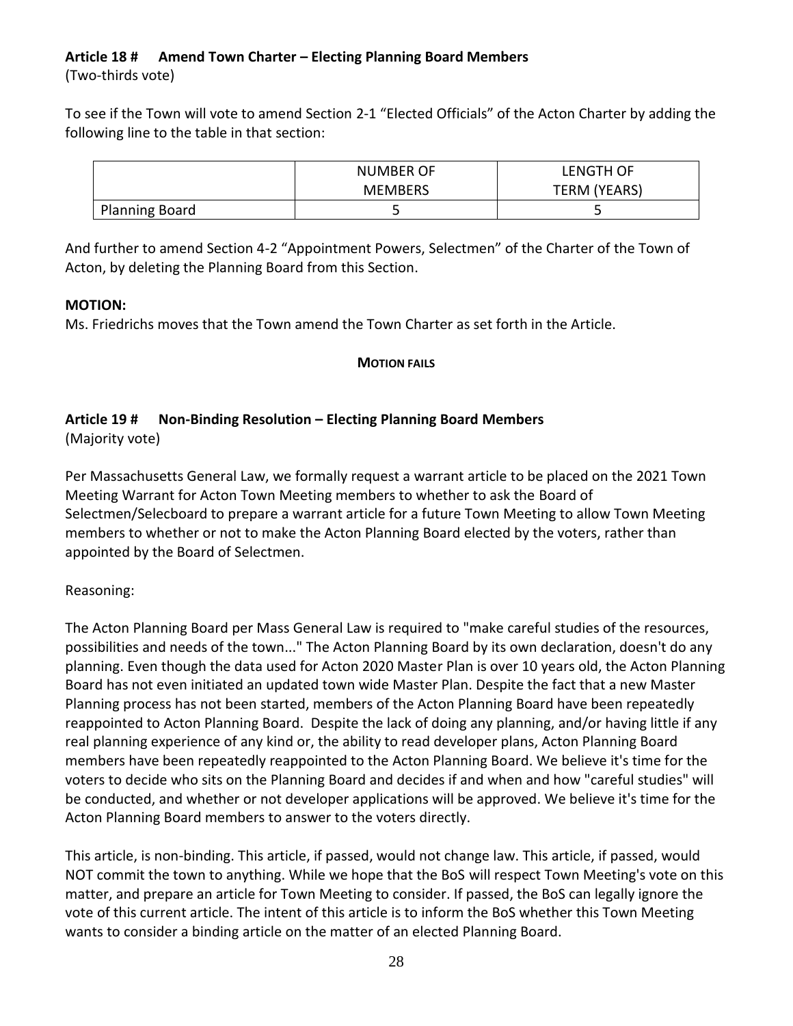### **Article 18 # Amend Town Charter – Electing Planning Board Members** (Two-thirds vote)

To see if the Town will vote to amend Section 2-1 "Elected Officials" of the Acton Charter by adding the following line to the table in that section:

|                       | <b>NUMBER OF</b> | LENGTH OF    |
|-----------------------|------------------|--------------|
|                       | <b>MEMBERS</b>   | TERM (YEARS) |
| <b>Planning Board</b> |                  | ٮ            |

And further to amend Section 4-2 "Appointment Powers, Selectmen" of the Charter of the Town of Acton, by deleting the Planning Board from this Section.

# **MOTION:**

Ms. Friedrichs moves that the Town amend the Town Charter as set forth in the Article.

# **MOTION FAILS**

# **Article 19 # Non-Binding Resolution – Electing Planning Board Members**

(Majority vote)

Per Massachusetts General Law, we formally request a warrant article to be placed on the 2021 Town Meeting Warrant for Acton Town Meeting members to whether to ask the Board of Selectmen/Selecboard to prepare a warrant article for a future Town Meeting to allow Town Meeting members to whether or not to make the Acton Planning Board elected by the voters, rather than appointed by the Board of Selectmen.

# Reasoning:

The Acton Planning Board per Mass General Law is required to "make careful studies of the resources, possibilities and needs of the town..." The Acton Planning Board by its own declaration, doesn't do any planning. Even though the data used for Acton 2020 Master Plan is over 10 years old, the Acton Planning Board has not even initiated an updated town wide Master Plan. Despite the fact that a new Master Planning process has not been started, members of the Acton Planning Board have been repeatedly reappointed to Acton Planning Board. Despite the lack of doing any planning, and/or having little if any real planning experience of any kind or, the ability to read developer plans, Acton Planning Board members have been repeatedly reappointed to the Acton Planning Board. We believe it's time for the voters to decide who sits on the Planning Board and decides if and when and how "careful studies" will be conducted, and whether or not developer applications will be approved. We believe it's time for the Acton Planning Board members to answer to the voters directly.

This article, is non-binding. This article, if passed, would not change law. This article, if passed, would NOT commit the town to anything. While we hope that the BoS will respect Town Meeting's vote on this matter, and prepare an article for Town Meeting to consider. If passed, the BoS can legally ignore the vote of this current article. The intent of this article is to inform the BoS whether this Town Meeting wants to consider a binding article on the matter of an elected Planning Board.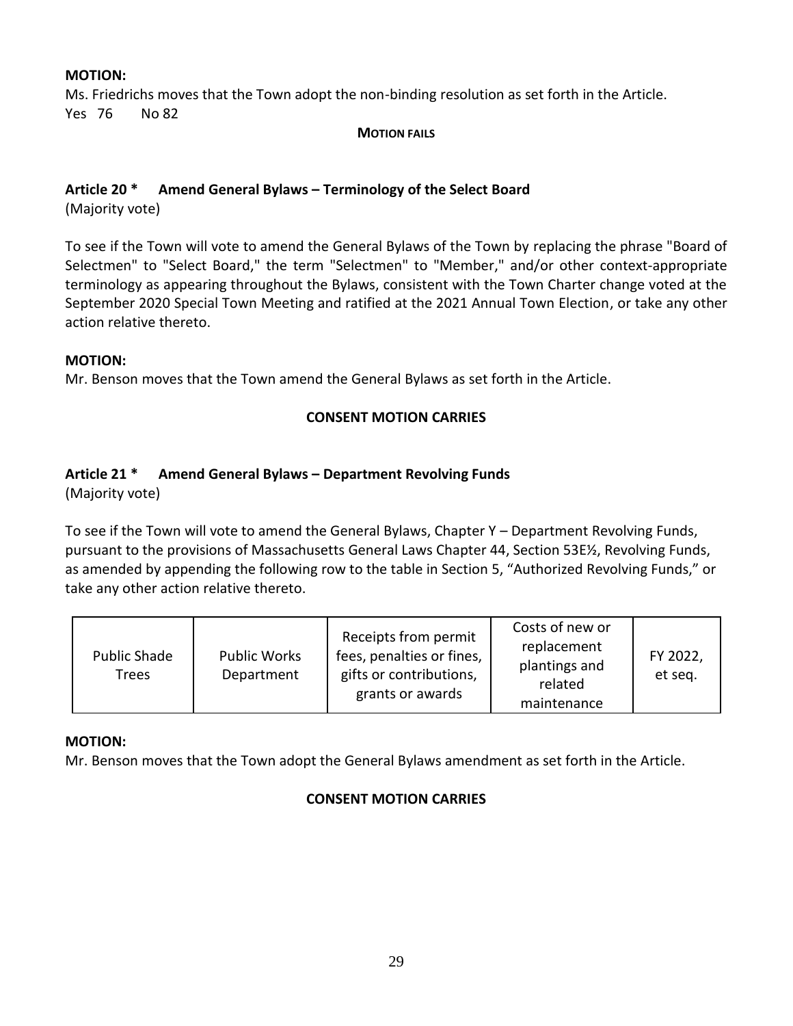#### **MOTION:**

Ms. Friedrichs moves that the Town adopt the non-binding resolution as set forth in the Article. Yes 76 No 82

#### **MOTION FAILS**

#### **Article 20 \* Amend General Bylaws – Terminology of the Select Board**

(Majority vote)

To see if the Town will vote to amend the General Bylaws of the Town by replacing the phrase "Board of Selectmen" to "Select Board," the term "Selectmen" to "Member," and/or other context-appropriate terminology as appearing throughout the Bylaws, consistent with the Town Charter change voted at the September 2020 Special Town Meeting and ratified at the 2021 Annual Town Election, or take any other action relative thereto.

#### **MOTION:**

Mr. Benson moves that the Town amend the General Bylaws as set forth in the Article.

#### **CONSENT MOTION CARRIES**

#### **Article 21 \* Amend General Bylaws – Department Revolving Funds**

(Majority vote)

To see if the Town will vote to amend the General Bylaws, Chapter Y – Department Revolving Funds, pursuant to the provisions of Massachusetts General Laws Chapter 44, Section 53E½, Revolving Funds, as amended by appending the following row to the table in Section 5, "Authorized Revolving Funds," or take any other action relative thereto.

| <b>Public Shade</b><br>Trees | <b>Public Works</b><br>Department | Receipts from permit<br>fees, penalties or fines,<br>gifts or contributions,<br>grants or awards | Costs of new or<br>replacement<br>plantings and<br>related<br>maintenance | FY 2022,<br>et seq. |
|------------------------------|-----------------------------------|--------------------------------------------------------------------------------------------------|---------------------------------------------------------------------------|---------------------|
|------------------------------|-----------------------------------|--------------------------------------------------------------------------------------------------|---------------------------------------------------------------------------|---------------------|

#### **MOTION:**

Mr. Benson moves that the Town adopt the General Bylaws amendment as set forth in the Article.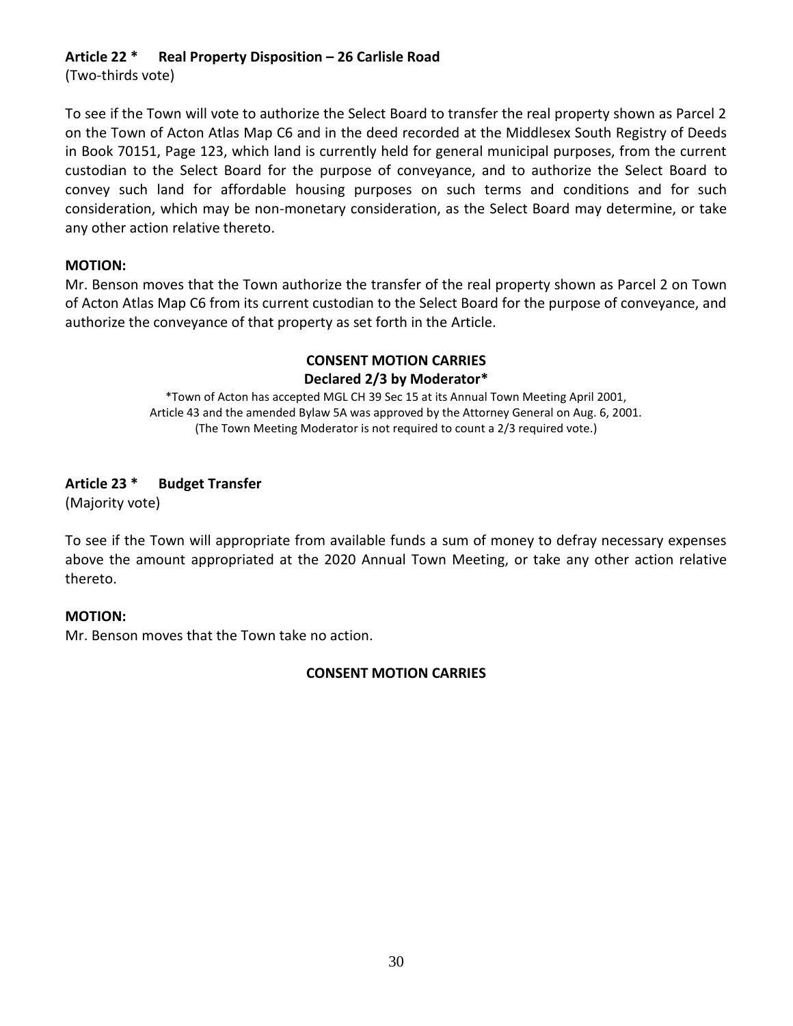# **Article 22 \* Real Property Disposition – 26 Carlisle Road**

(Two-thirds vote)

To see if the Town will vote to authorize the Select Board to transfer the real property shown as Parcel 2 on the Town of Acton Atlas Map C6 and in the deed recorded at the Middlesex South Registry of Deeds in Book 70151, Page 123, which land is currently held for general municipal purposes, from the current custodian to the Select Board for the purpose of conveyance, and to authorize the Select Board to convey such land for affordable housing purposes on such terms and conditions and for such consideration, which may be non-monetary consideration, as the Select Board may determine, or take any other action relative thereto.

#### **MOTION:**

Mr. Benson moves that the Town authorize the transfer of the real property shown as Parcel 2 on Town of Acton Atlas Map C6 from its current custodian to the Select Board for the purpose of conveyance, and authorize the conveyance of that property as set forth in the Article.

# **CONSENT MOTION CARRIES Declared 2/3 by Moderator\***

\*Town of Acton has accepted MGL CH 39 Sec 15 at its Annual Town Meeting April 2001, Article 43 and the amended Bylaw 5A was approved by the Attorney General on Aug. 6, 2001. (The Town Meeting Moderator is not required to count a 2/3 required vote.)

# **Article 23 \* Budget Transfer**

(Majority vote)

To see if the Town will appropriate from available funds a sum of money to defray necessary expenses above the amount appropriated at the 2020 Annual Town Meeting, or take any other action relative thereto.

# **MOTION:**

Mr. Benson moves that the Town take no action.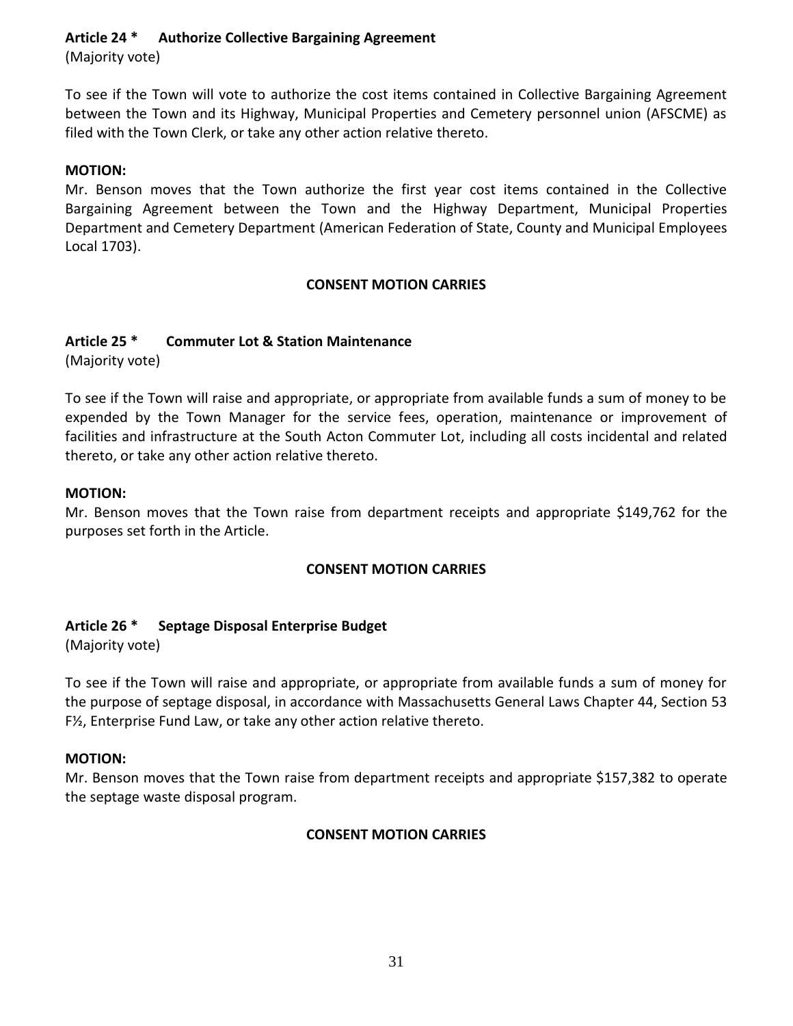**Article 24 \* Authorize Collective Bargaining Agreement**

(Majority vote)

To see if the Town will vote to authorize the cost items contained in Collective Bargaining Agreement between the Town and its Highway, Municipal Properties and Cemetery personnel union (AFSCME) as filed with the Town Clerk, or take any other action relative thereto.

# **MOTION:**

Mr. Benson moves that the Town authorize the first year cost items contained in the Collective Bargaining Agreement between the Town and the Highway Department, Municipal Properties Department and Cemetery Department (American Federation of State, County and Municipal Employees Local 1703).

# **CONSENT MOTION CARRIES**

# **Article 25 \* Commuter Lot & Station Maintenance**

(Majority vote)

To see if the Town will raise and appropriate, or appropriate from available funds a sum of money to be expended by the Town Manager for the service fees, operation, maintenance or improvement of facilities and infrastructure at the South Acton Commuter Lot, including all costs incidental and related thereto, or take any other action relative thereto.

# **MOTION:**

Mr. Benson moves that the Town raise from department receipts and appropriate \$149,762 for the purposes set forth in the Article.

# **CONSENT MOTION CARRIES**

# **Article 26 \* Septage Disposal Enterprise Budget**

(Majority vote)

To see if the Town will raise and appropriate, or appropriate from available funds a sum of money for the purpose of septage disposal, in accordance with Massachusetts General Laws Chapter 44, Section 53 F½, Enterprise Fund Law, or take any other action relative thereto.

# **MOTION:**

Mr. Benson moves that the Town raise from department receipts and appropriate \$157,382 to operate the septage waste disposal program.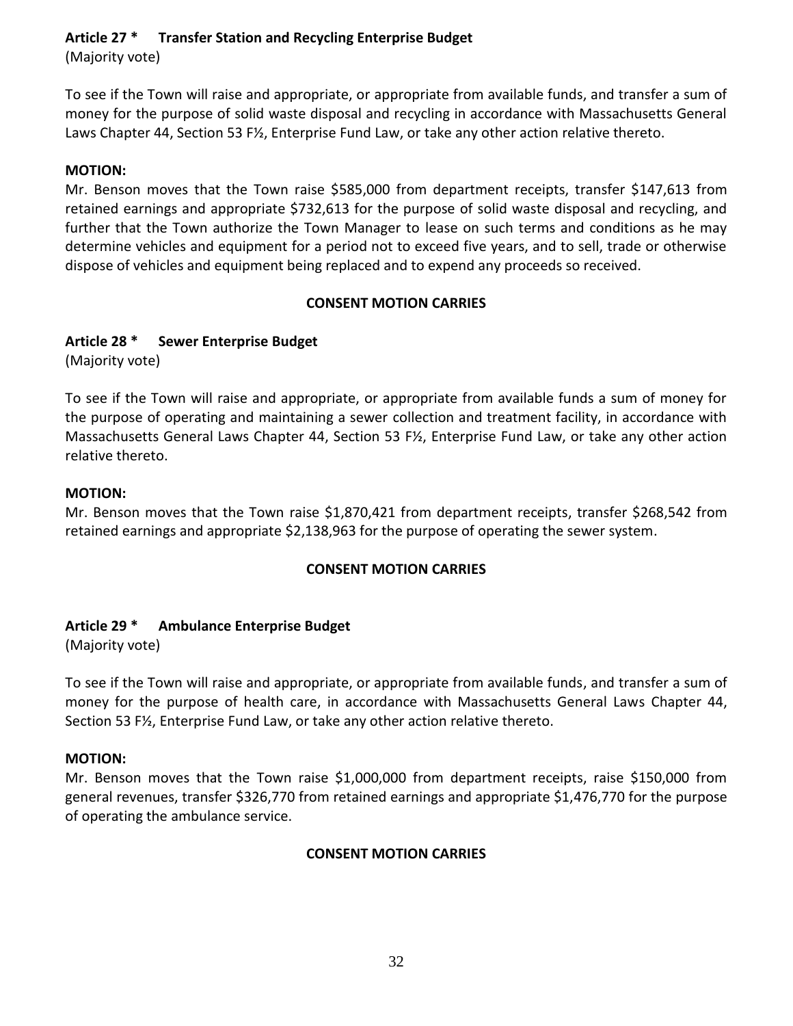**Article 27 \* Transfer Station and Recycling Enterprise Budget**

(Majority vote)

To see if the Town will raise and appropriate, or appropriate from available funds, and transfer a sum of money for the purpose of solid waste disposal and recycling in accordance with Massachusetts General Laws Chapter 44, Section 53 F½, Enterprise Fund Law, or take any other action relative thereto.

#### **MOTION:**

Mr. Benson moves that the Town raise \$585,000 from department receipts, transfer \$147,613 from retained earnings and appropriate \$732,613 for the purpose of solid waste disposal and recycling, and further that the Town authorize the Town Manager to lease on such terms and conditions as he may determine vehicles and equipment for a period not to exceed five years, and to sell, trade or otherwise dispose of vehicles and equipment being replaced and to expend any proceeds so received.

#### **CONSENT MOTION CARRIES**

# **Article 28 \* Sewer Enterprise Budget**

(Majority vote)

To see if the Town will raise and appropriate, or appropriate from available funds a sum of money for the purpose of operating and maintaining a sewer collection and treatment facility, in accordance with Massachusetts General Laws Chapter 44, Section 53 F½, Enterprise Fund Law, or take any other action relative thereto.

#### **MOTION:**

Mr. Benson moves that the Town raise \$1,870,421 from department receipts, transfer \$268,542 from retained earnings and appropriate \$2,138,963 for the purpose of operating the sewer system.

# **CONSENT MOTION CARRIES**

# **Article 29 \* Ambulance Enterprise Budget**

(Majority vote)

To see if the Town will raise and appropriate, or appropriate from available funds, and transfer a sum of money for the purpose of health care, in accordance with Massachusetts General Laws Chapter 44, Section 53 F½, Enterprise Fund Law, or take any other action relative thereto.

#### **MOTION:**

Mr. Benson moves that the Town raise \$1,000,000 from department receipts, raise \$150,000 from general revenues, transfer \$326,770 from retained earnings and appropriate \$1,476,770 for the purpose of operating the ambulance service.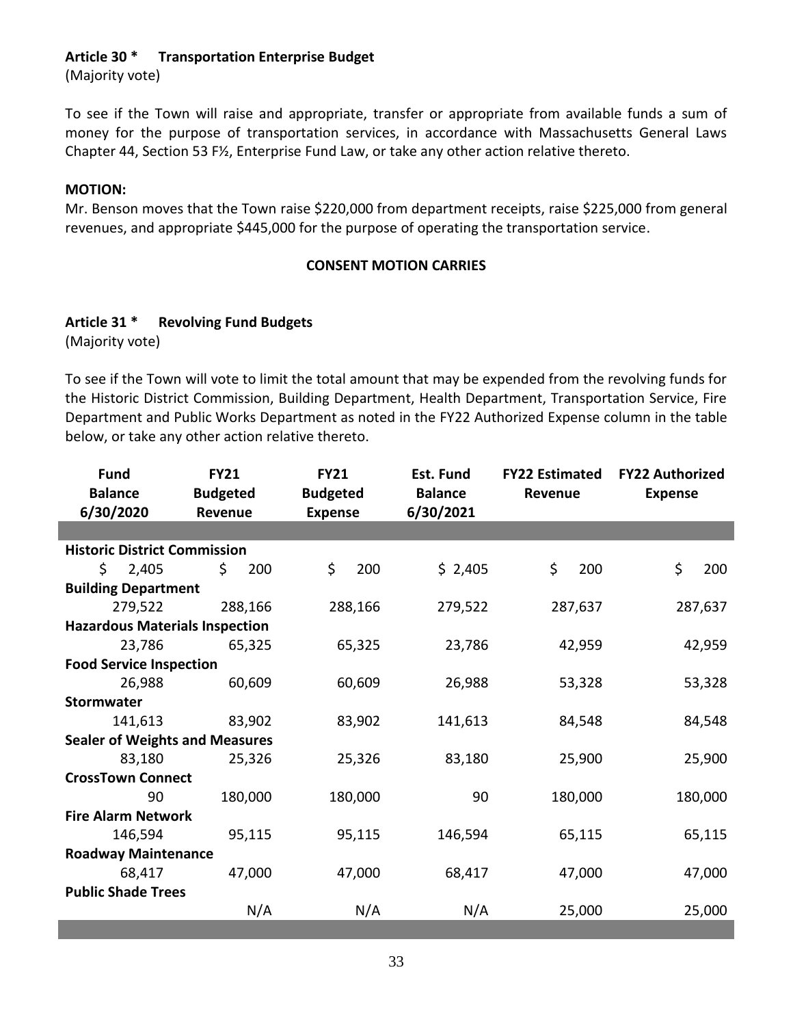#### **Article 30 \* Transportation Enterprise Budget**

(Majority vote)

To see if the Town will raise and appropriate, transfer or appropriate from available funds a sum of money for the purpose of transportation services, in accordance with Massachusetts General Laws Chapter 44, Section 53 F½, Enterprise Fund Law, or take any other action relative thereto.

#### **MOTION:**

Mr. Benson moves that the Town raise \$220,000 from department receipts, raise \$225,000 from general revenues, and appropriate \$445,000 for the purpose of operating the transportation service.

#### **CONSENT MOTION CARRIES**

# **Article 31 \* Revolving Fund Budgets**

(Majority vote)

To see if the Town will vote to limit the total amount that may be expended from the revolving funds for the Historic District Commission, Building Department, Health Department, Transportation Service, Fire Department and Public Works Department as noted in the FY22 Authorized Expense column in the table below, or take any other action relative thereto.

| <b>Fund</b><br><b>Balance</b><br>6/30/2020 | <b>FY21</b><br><b>Budgeted</b><br>Revenue | <b>FY21</b><br><b>Budgeted</b><br><b>Expense</b> | Est. Fund<br><b>Balance</b><br>6/30/2021 | <b>FY22 Estimated</b><br>Revenue | <b>FY22 Authorized</b><br><b>Expense</b> |
|--------------------------------------------|-------------------------------------------|--------------------------------------------------|------------------------------------------|----------------------------------|------------------------------------------|
|                                            |                                           |                                                  |                                          |                                  |                                          |
| <b>Historic District Commission</b>        |                                           |                                                  |                                          |                                  |                                          |
| \$.<br>2,405                               | \$<br>200                                 | \$.<br>200                                       | \$2,405                                  | \$<br>200                        | \$<br>200                                |
| <b>Building Department</b>                 |                                           |                                                  |                                          |                                  |                                          |
| 279,522                                    | 288,166                                   | 288,166                                          | 279,522                                  | 287,637                          | 287,637                                  |
| <b>Hazardous Materials Inspection</b>      |                                           |                                                  |                                          |                                  |                                          |
| 23,786                                     | 65,325                                    | 65,325                                           | 23,786                                   | 42,959                           | 42,959                                   |
| <b>Food Service Inspection</b>             |                                           |                                                  |                                          |                                  |                                          |
| 26,988                                     | 60,609                                    | 60,609                                           | 26,988                                   | 53,328                           | 53,328                                   |
| <b>Stormwater</b>                          |                                           |                                                  |                                          |                                  |                                          |
| 141,613                                    | 83,902                                    | 83,902                                           | 141,613                                  | 84,548                           | 84,548                                   |
| <b>Sealer of Weights and Measures</b>      |                                           |                                                  |                                          |                                  |                                          |
| 83,180                                     | 25,326                                    | 25,326                                           | 83,180                                   | 25,900                           | 25,900                                   |
| <b>CrossTown Connect</b>                   |                                           |                                                  |                                          |                                  |                                          |
| 90                                         | 180,000                                   | 180,000                                          | 90                                       | 180,000                          | 180,000                                  |
| <b>Fire Alarm Network</b>                  |                                           |                                                  |                                          |                                  |                                          |
| 146,594                                    | 95,115                                    | 95,115                                           | 146,594                                  | 65,115                           | 65,115                                   |
| <b>Roadway Maintenance</b>                 |                                           |                                                  |                                          |                                  |                                          |
| 68,417                                     | 47,000                                    | 47,000                                           | 68,417                                   | 47,000                           | 47,000                                   |
| <b>Public Shade Trees</b>                  |                                           |                                                  |                                          |                                  |                                          |
|                                            | N/A                                       | N/A                                              | N/A                                      | 25,000                           | 25,000                                   |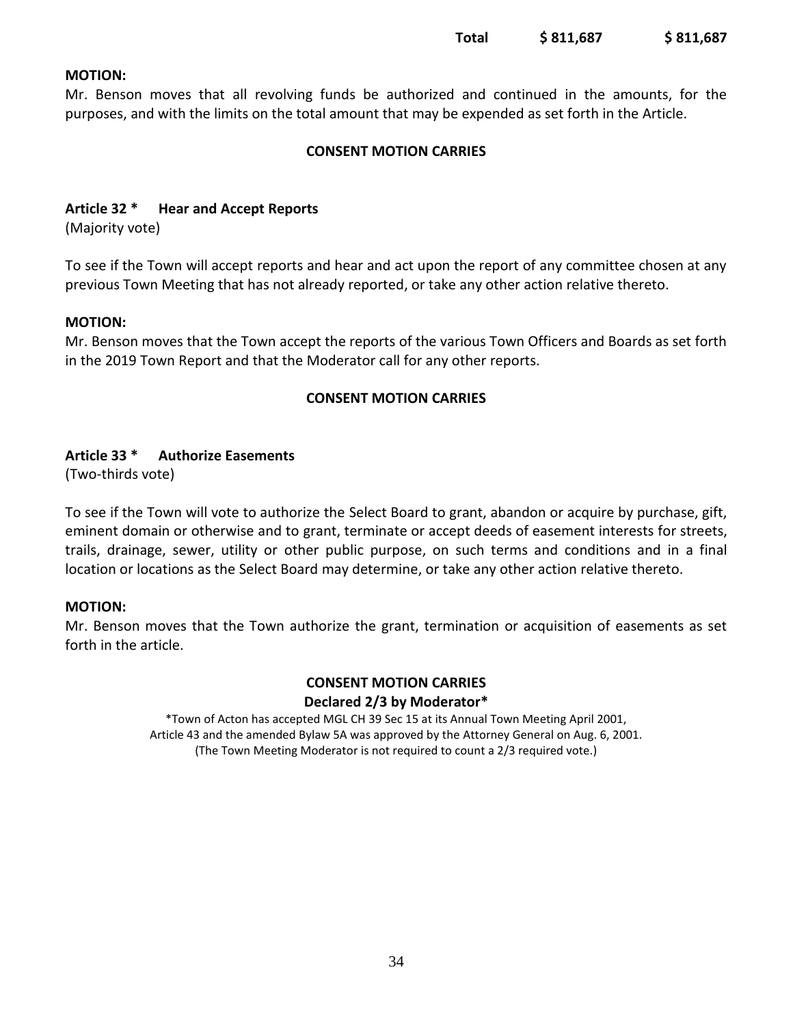#### **MOTION:**

Mr. Benson moves that all revolving funds be authorized and continued in the amounts, for the purposes, and with the limits on the total amount that may be expended as set forth in the Article.

#### **CONSENT MOTION CARRIES**

#### **Article 32 \* Hear and Accept Reports**

(Majority vote)

To see if the Town will accept reports and hear and act upon the report of any committee chosen at any previous Town Meeting that has not already reported, or take any other action relative thereto.

#### **MOTION:**

Mr. Benson moves that the Town accept the reports of the various Town Officers and Boards as set forth in the 2019 Town Report and that the Moderator call for any other reports.

#### **CONSENT MOTION CARRIES**

#### **Article 33 \* Authorize Easements**

(Two-thirds vote)

To see if the Town will vote to authorize the Select Board to grant, abandon or acquire by purchase, gift, eminent domain or otherwise and to grant, terminate or accept deeds of easement interests for streets, trails, drainage, sewer, utility or other public purpose, on such terms and conditions and in a final location or locations as the Select Board may determine, or take any other action relative thereto.

#### **MOTION:**

Mr. Benson moves that the Town authorize the grant, termination or acquisition of easements as set forth in the article.

#### **CONSENT MOTION CARRIES Declared 2/3 by Moderator\***

\*Town of Acton has accepted MGL CH 39 Sec 15 at its Annual Town Meeting April 2001, Article 43 and the amended Bylaw 5A was approved by the Attorney General on Aug. 6, 2001. (The Town Meeting Moderator is not required to count a 2/3 required vote.)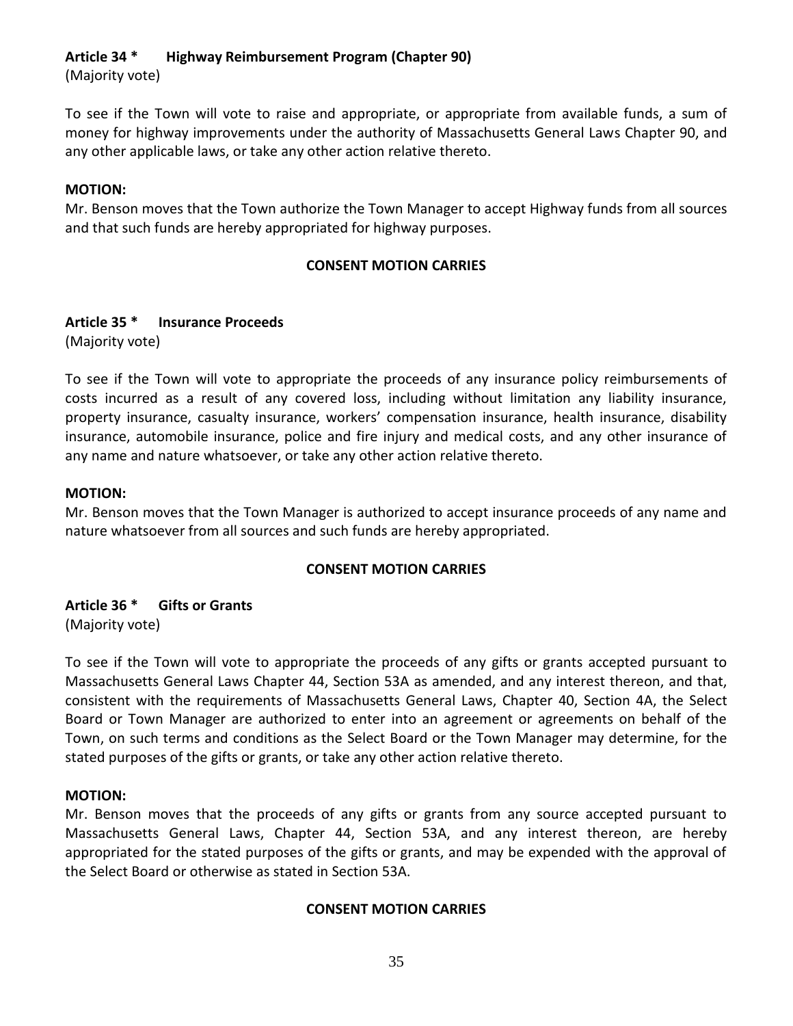**Article 34 \* Highway Reimbursement Program (Chapter 90)**

(Majority vote)

To see if the Town will vote to raise and appropriate, or appropriate from available funds, a sum of money for highway improvements under the authority of Massachusetts General Laws Chapter 90, and any other applicable laws, or take any other action relative thereto.

#### **MOTION:**

Mr. Benson moves that the Town authorize the Town Manager to accept Highway funds from all sources and that such funds are hereby appropriated for highway purposes.

#### **CONSENT MOTION CARRIES**

# **Article 35 \* Insurance Proceeds**

(Majority vote)

To see if the Town will vote to appropriate the proceeds of any insurance policy reimbursements of costs incurred as a result of any covered loss, including without limitation any liability insurance, property insurance, casualty insurance, workers' compensation insurance, health insurance, disability insurance, automobile insurance, police and fire injury and medical costs, and any other insurance of any name and nature whatsoever, or take any other action relative thereto.

#### **MOTION:**

Mr. Benson moves that the Town Manager is authorized to accept insurance proceeds of any name and nature whatsoever from all sources and such funds are hereby appropriated.

# **CONSENT MOTION CARRIES**

**Article 36 \* Gifts or Grants** (Majority vote)

To see if the Town will vote to appropriate the proceeds of any gifts or grants accepted pursuant to Massachusetts General Laws Chapter 44, Section 53A as amended, and any interest thereon, and that, consistent with the requirements of Massachusetts General Laws, Chapter 40, Section 4A, the Select Board or Town Manager are authorized to enter into an agreement or agreements on behalf of the Town, on such terms and conditions as the Select Board or the Town Manager may determine, for the stated purposes of the gifts or grants, or take any other action relative thereto.

# **MOTION:**

Mr. Benson moves that the proceeds of any gifts or grants from any source accepted pursuant to Massachusetts General Laws, Chapter 44, Section 53A, and any interest thereon, are hereby appropriated for the stated purposes of the gifts or grants, and may be expended with the approval of the Select Board or otherwise as stated in Section 53A.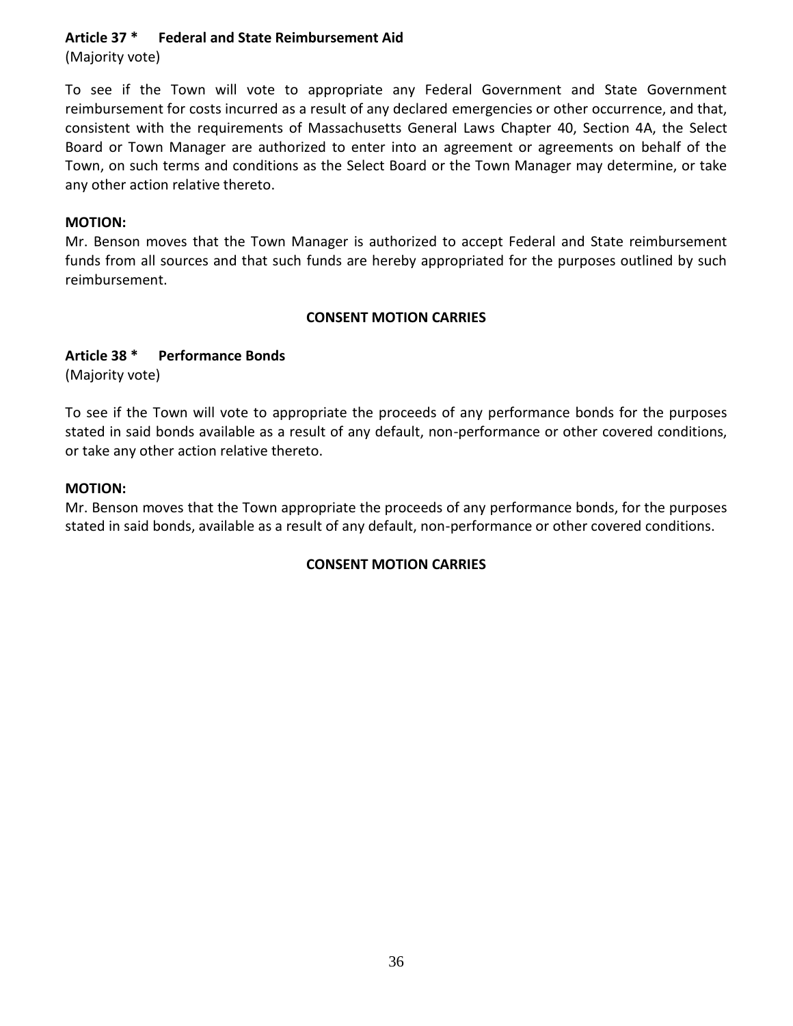### **Article 37 \* Federal and State Reimbursement Aid**

(Majority vote)

To see if the Town will vote to appropriate any Federal Government and State Government reimbursement for costs incurred as a result of any declared emergencies or other occurrence, and that, consistent with the requirements of Massachusetts General Laws Chapter 40, Section 4A, the Select Board or Town Manager are authorized to enter into an agreement or agreements on behalf of the Town, on such terms and conditions as the Select Board or the Town Manager may determine, or take any other action relative thereto.

#### **MOTION:**

Mr. Benson moves that the Town Manager is authorized to accept Federal and State reimbursement funds from all sources and that such funds are hereby appropriated for the purposes outlined by such reimbursement.

#### **CONSENT MOTION CARRIES**

#### **Article 38 \* Performance Bonds**

(Majority vote)

To see if the Town will vote to appropriate the proceeds of any performance bonds for the purposes stated in said bonds available as a result of any default, non-performance or other covered conditions, or take any other action relative thereto.

#### **MOTION:**

Mr. Benson moves that the Town appropriate the proceeds of any performance bonds, for the purposes stated in said bonds, available as a result of any default, non-performance or other covered conditions.